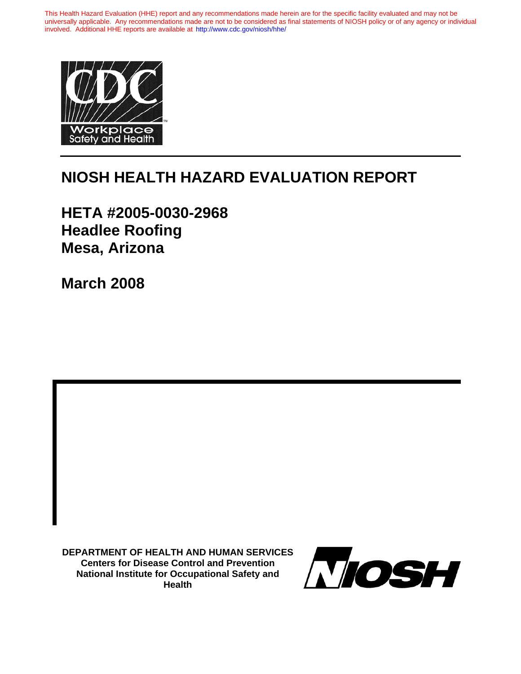This Health Hazard Evaluation (HHE) report and any recommendations made herein are for the specific facility evaluated and may not be universally applicable. Any recommendations made are not to be considered as final statements of NIOSH policy or of any agency or individual involved. Additional HHE reports are available at <http://www.cdc.gov/niosh/hhe/>



# **NIOSH HEALTH HAZARD EVALUATION REPORT**

**HETA #2005-0030-2968 Headlee Roofing Mesa, Arizona** 

**March 2008** 

**DEPARTMENT OF HEALTH AND HUMAN SERVICES Centers for Disease Control and Prevention National Institute for Occupational Safety and Health**

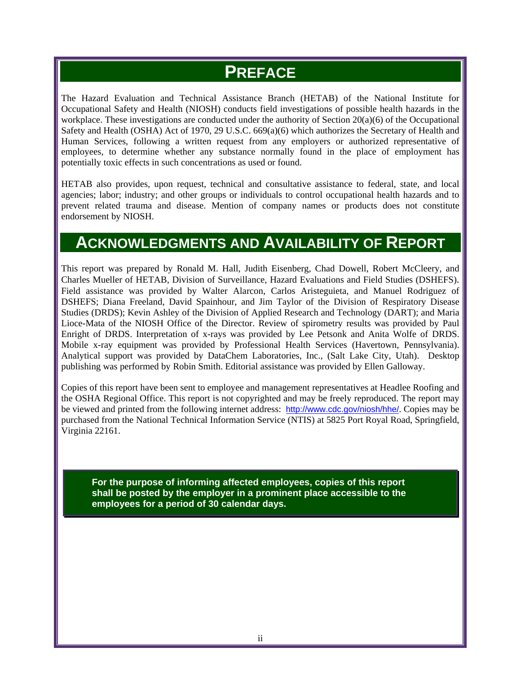# **PREFACE**

The Hazard Evaluation and Technical Assistance Branch (HETAB) of the National Institute for Occupational Safety and Health (NIOSH) conducts field investigations of possible health hazards in the workplace. These investigations are conducted under the authority of Section 20(a)(6) of the Occupational Safety and Health (OSHA) Act of 1970, 29 U.S.C. 669(a)(6) which authorizes the Secretary of Health and Human Services, following a written request from any employers or authorized representative of employees, to determine whether any substance normally found in the place of employment has potentially toxic effects in such concentrations as used or found.

HETAB also provides, upon request, technical and consultative assistance to federal, state, and local agencies; labor; industry; and other groups or individuals to control occupational health hazards and to prevent related trauma and disease. Mention of company names or products does not constitute endorsement by NIOSH.

### **ACKNOWLEDGMENTS AND AVAILABILITY OF REPORT**

This report was prepared by Ronald M. Hall, Judith Eisenberg, Chad Dowell, Robert McCleery, and Charles Mueller of HETAB, Division of Surveillance, Hazard Evaluations and Field Studies (DSHEFS). Field assistance was provided by Walter Alarcon, Carlos Aristeguieta, and Manuel Rodriguez of DSHEFS; Diana Freeland, David Spainhour, and Jim Taylor of the Division of Respiratory Disease Studies (DRDS); Kevin Ashley of the Division of Applied Research and Technology (DART); and Maria Lioce-Mata of the NIOSH Office of the Director. Review of spirometry results was provided by Paul Enright of DRDS. Interpretation of x-rays was provided by Lee Petsonk and Anita Wolfe of DRDS. Mobile x-ray equipment was provided by Professional Health Services (Havertown, Pennsylvania). Analytical support was provided by DataChem Laboratories, Inc., (Salt Lake City, Utah). Desktop publishing was performed by Robin Smith. Editorial assistance was provided by Ellen Galloway.

Copies of this report have been sent to employee and management representatives at Headlee Roofing and the OSHA Regional Office. This report is not copyrighted and may be freely reproduced. The report may be viewed and printed from the following internet address: http://www.cdc.gov/niosh/hhe/. Copies may be purchased from the National Technical Information Service (NTIS) at 5825 Port Royal Road, Springfield, Virginia 22161.

**For the purpose of informing affected employees, copies of this report shall be posted by the employer in a prominent place accessible to the employees for a period of 30 calendar days.**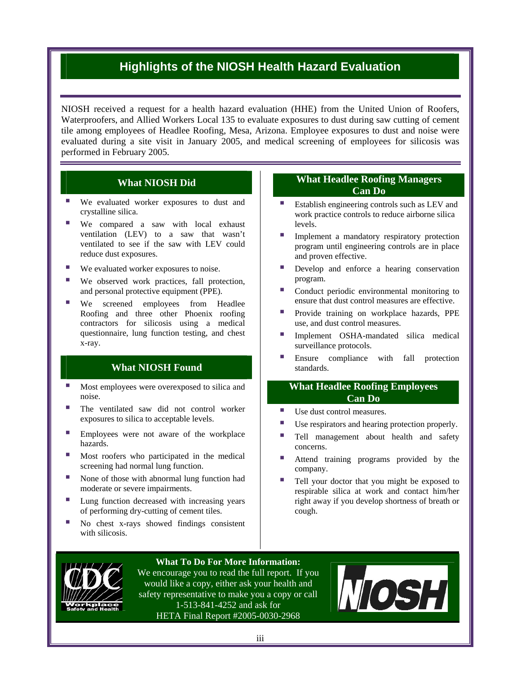### **Highlights of the NIOSH Health Hazard Evaluation**

NIOSH received a request for a health hazard evaluation (HHE) from the United Union of Roofers, Waterproofers, and Allied Workers Local 135 to evaluate exposures to dust during saw cutting of cement tile among employees of Headlee Roofing, Mesa, Arizona. Employee exposures to dust and noise were evaluated during a site visit in January 2005, and m edical screening of employees for silicosis was performed in February 2005.

#### **What NIOSH Did**

- **We evaluated worker exposures to dust and** crystalline silica.
- **We compared a saw with local exhaust** ventilation (LEV) to a saw that wasn't ventilated to see if the saw with LEV could reduce dust exposures.
- We evaluated worker exposures to noise.
- We observed work practices, fall protection, and personal protective equipment (PPE).
- **We** screened employees from Headlee Roofing and three other Phoenix roofing contractors for silicosis using a medical questionnaire, lung function testing, and chest x-ray.

#### **What NIOSH Found**

- Most employees were overexposed to silica and noise.
- The ventilated saw did not control worker exposures to silica to acceptable levels.
- **Employees** were not aware of the workplace hazards.
- Most roofers who participated in the medical screening had normal lung function.
- None of those with abnormal lung function had moderate or severe impairments.
- of performing dry-cutting of cement tiles. ■ Lung function decreased with increasing years
- No chest x-rays showed findings consistent with silicosis.

#### **What Headlee Roofing Managers Can Do**

- **Establish engineering controls such as LEV and** work practice controls to reduce airborne silica levels.
- **Implement a mandatory respiratory protection** and proven effective. program until engineering controls are in place
- Develop and enforce a hearing conservation program.
- Conduct periodic environmental monitoring to ensure that dust control measures are effective.
- **Provide training on workplace hazards, PPE** use, and dust control measures.
- **Implement OSHA-mandated silica medical** surveillance protocols.
- **Ensure compliance with fall protection** standards.

#### **What Headlee Roofing Employees Can Do**

- Use dust control measures.
- Use respirators and hearing protection properly.
- Tell management about health and safety concerns.
- Attend training programs provided by the company.
- Tell your doctor that you might be exposed to respirable silica at work and contact him/her right away if you develop shortness of breath or cough.



#### **What To Do For More Information:**

We encourage you to read the full report. If you would like a copy, either ask your health and safety representative to make you a copy or call 1-513-841-4252 and ask for HETA Final Report #2005-0030-2968

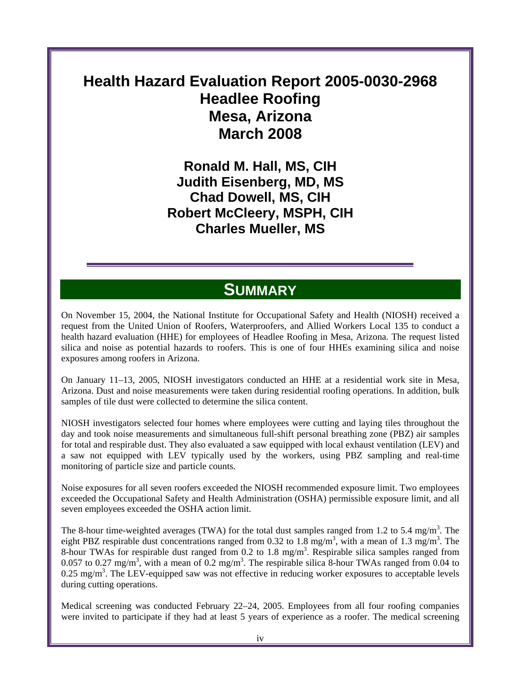# **Health Hazard Evaluation Report 2005-0030-2968 Headlee Roofing Mesa, Arizona March 2008**

**Ronald M. Hall, MS, CIH Judith Eisenberg, MD, MS Chad Dowell, MS, CIH Robert McCleery, MSPH, CIH Charles Mueller, MS** 

### **SUMMARY**

On November 15, 2004, the National Institute for Occupational Safety and Health (NIOSH) received a request from the United Union of Roofers, Waterproofers, and Allied Workers Local 135 to conduct a health hazard evaluation (HHE) for employees of Headlee Roofing in Mesa, Arizona. The request listed silica and noise as potential hazards to roofers. This is one of four HHEs examining silica and noise exposures among roofers in Arizona.

On January 11–13, 2005, NIOSH investigators conducted an HHE at a residential work site in Mesa, Arizona. Dust and noise measurements were taken during residential roofing operations. In addition, bulk samples of tile dust were collected to determine the silica content.

NIOSH investigators selected four homes where employees were cutting and laying tiles throughout the day and took noise measurements and simultaneous full-shift personal breathing zone (PBZ) air samples for total and respirable dust. They also evaluated a saw equipped with local exhaust ventilation (LEV) and a saw not equipped with LEV typically used by the workers, using PBZ sampling and real-time monitoring of particle size and particle counts.

Noise exposures for all seven roofers exceeded the NIOSH recommended exposure limit. Two employees exceeded the Occupational Safety and Health Administration (OSHA) permissible exposure limit, and all seven employees exceeded the OSHA action limit.

The 8-hour time-weighted averages (TWA) for the total dust samples ranged from 1.2 to 5.4 mg/m<sup>3</sup>. The eight PBZ respirable dust concentrations ranged from 0.32 to 1.8 mg/m<sup>3</sup>, with a mean of 1.3 mg/m<sup>3</sup>. The 8-hour TWAs for respirable dust ranged from 0.2 to 1.8 mg/m<sup>3</sup>. Respirable silica samples ranged from 0.057 to 0.27 mg/m<sup>3</sup>, with a mean of 0.2 mg/m<sup>3</sup>. The respirable silica 8-hour TWAs ranged from 0.04 to  $0.25 \text{ mg/m}^3$ . The LEV-equipped saw was not effective in reducing worker exposures to acceptable levels during cutting operations.

Medical screening was conducted February 22–24, 2005. Employees from all four roofing companies were invited to participate if they had at least 5 years of experience as a roofer. The medical screening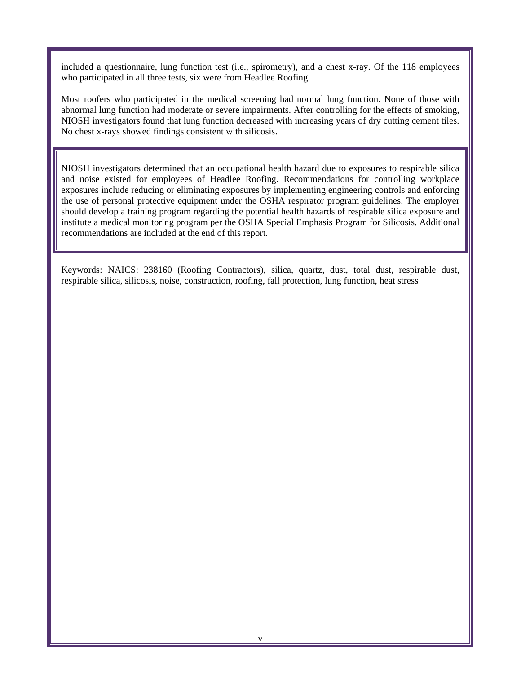included a questionnaire, lung function test (i.e., spirometry), and a chest x-ray. Of the 118 employees who participated in all three tests, six were from Headlee Roofing.

Most roofers who participated in the medical screening had normal lung function. None of those with abnormal lung function had moderate or severe impairments. After controlling for the effects of smoking, NIOSH investigators found that lung function decreased with increasing years of dry cutting cement tiles. No chest x-rays showed findings consistent with silicosis.

NIOSH investigators determined that an occupational health hazard due to exposures to respirable silica and noise existed for employees of Headlee Roofing. Recommendations for controlling workplace exposures include reducing or eliminating exposures by implementing engineering controls and enforcing the use of personal protective equipment under the OSHA respirator program guidelines. The employer should develop a training program regarding the potential health hazards of respirable silica exposure and institute a medical monitoring program per the OSHA Special Emphasis Program for Silicosis. Additional recommendations are included at the end of this report.

Keywords: NAICS: 238160 (Roofing Contractors), silica, quartz, dust, total dust, respirable dust, respirable silica, silicosis, noise, construction, roofing, fall protection, lung function, heat stress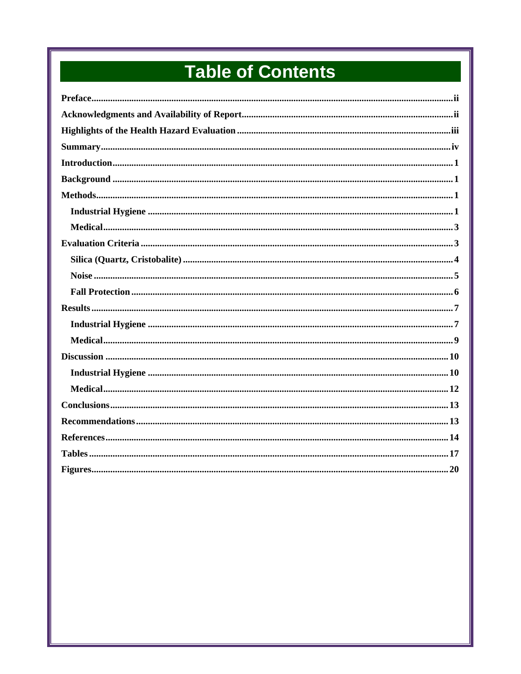# **Table of Contents**

| $\textbf{Noise}\textcolor{red}{}\textcolor{blue}{}\textcolor{blue}{}\textcolor{blue}{}\textcolor{blue}{}\textcolor{blue}{}\textcolor{blue}{}\textcolor{blue}{}\textcolor{blue}{}\textcolor{blue}{}\textcolor{blue}{}\textcolor{blue}{}\textcolor{blue}{}\textcolor{blue}{}\textcolor{blue}{}\textcolor{blue}{}\textcolor{blue}{}\textcolor{blue}{}\textcolor{blue}{}\textcolor{blue}{}\textcolor{blue}{}\textcolor{blue}{}\textcolor{blue}{}\textcolor{blue}{}\textcolor{blue}{}\textcolor{blue}{}\textcolor{blue}{}\textcolor{blue}{}\textcolor{blue}{}\textcolor{blue}{}\textcolor{blue$ |  |
|--------------------------------------------------------------------------------------------------------------------------------------------------------------------------------------------------------------------------------------------------------------------------------------------------------------------------------------------------------------------------------------------------------------------------------------------------------------------------------------------------------------------------------------------------------------------------------------------|--|
|                                                                                                                                                                                                                                                                                                                                                                                                                                                                                                                                                                                            |  |
|                                                                                                                                                                                                                                                                                                                                                                                                                                                                                                                                                                                            |  |
|                                                                                                                                                                                                                                                                                                                                                                                                                                                                                                                                                                                            |  |
|                                                                                                                                                                                                                                                                                                                                                                                                                                                                                                                                                                                            |  |
|                                                                                                                                                                                                                                                                                                                                                                                                                                                                                                                                                                                            |  |
|                                                                                                                                                                                                                                                                                                                                                                                                                                                                                                                                                                                            |  |
|                                                                                                                                                                                                                                                                                                                                                                                                                                                                                                                                                                                            |  |
|                                                                                                                                                                                                                                                                                                                                                                                                                                                                                                                                                                                            |  |
|                                                                                                                                                                                                                                                                                                                                                                                                                                                                                                                                                                                            |  |
|                                                                                                                                                                                                                                                                                                                                                                                                                                                                                                                                                                                            |  |
|                                                                                                                                                                                                                                                                                                                                                                                                                                                                                                                                                                                            |  |
|                                                                                                                                                                                                                                                                                                                                                                                                                                                                                                                                                                                            |  |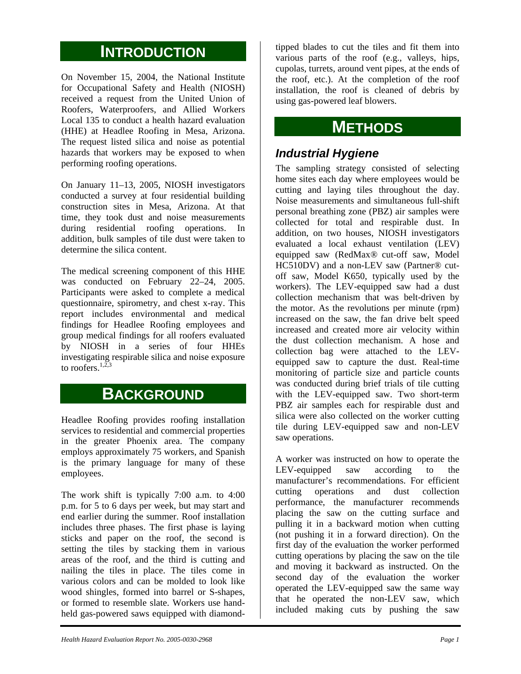### **INTRODUCTION**

On November 15, 2004, the National Institute for Occupational Safety and Health (NIOSH) received a request from the United Union of Roofers, Waterproofers, and Allied Workers Local 135 to conduct a health hazard evaluation (HHE) at Headlee Roofing in Mesa, Arizona. The request listed silica and noise as potential hazards that workers may be exposed to when performing roofing operations.

On January 11–13, 2005, NIOSH investigators conducted a survey at four residential building construction sites in Mesa, Arizona. At that time, they took dust and noise measurements during residential roofing operations. In addition, bulk samples of tile dust were taken to determine the silica content.

The medical screening component of this HHE was conducted on February 22–24, 2005. Participants were asked to complete a medical questionnaire, spirometry, and chest x-ray. This report includes environmental and medical findings for Headlee Roofing employees and group medical findings for all roofers evaluated by NIOSH in a series of four HHEs investigating respirable silica and noise exposure to roofers  $^{1,\overline{2},3}$ 

### **BACKGROUND**

Headlee Roofing provides roofing installation services to residential and commercial properties in the greater Phoenix area. The company employs approximately 75 workers, and Spanish is the primary language for many of these employees.

The work shift is typically 7:00 a.m. to 4:00 p.m. for 5 to 6 days per week, but may start and end earlier during the summer. Roof installation includes three phases. The first phase is laying sticks and paper on the roof, the second is setting the tiles by stacking them in various areas of the roof, and the third is cutting and nailing the tiles in place. The tiles come in various colors and can be molded to look like wood shingles, formed into barrel or S-shapes, or formed to resemble slate. Workers use handheld gas-powered saws equipped with diamond-

tipped blades to cut the tiles and fit them into various parts of the roof (e.g., valleys, hips, cupolas, turrets, around vent pipes, at the ends of the roof, etc.). At the completion of the roof installation, the roof is cleaned of debris by using gas-powered leaf blowers.

# **METHODS**

### *Industrial Hygiene*

The sampling strategy consisted of selecting home sites each day where employees would be cutting and laying tiles throughout the day. Noise measurements and simultaneous full-shift personal breathing zone (PBZ) air samples were collected for total and respirable dust. In addition, on two houses, NIOSH investigators evaluated a local exhaust ventilation (LEV) equipped saw (RedMax® cut-off saw, Model HC510DV) and a non-LEV saw (Partner® cutoff saw, Model K650, typically used by the workers). The LEV-equipped saw had a dust collection mechanism that was belt-driven by the motor. As the revolutions per minute (rpm) increased on the saw, the fan drive belt speed increased and created more air velocity within the dust collection mechanism. A hose and collection bag were attached to the LEVequipped saw to capture the dust. Real-time monitoring of particle size and particle counts was conducted during brief trials of tile cutting with the LEV-equipped saw. Two short-term PBZ air samples each for respirable dust and silica were also collected on the worker cutting tile during LEV-equipped saw and non-LEV saw operations.

A worker was instructed on how to operate the LEV-equipped saw according to the manufacturer's recommendations. For efficient cutting operations and dust collection performance, the manufacturer recommends placing the saw on the cutting surface and pulling it in a backward motion when cutting (not pushing it in a forward direction). On the first day of the evaluation the worker performed cutting operations by placing the saw on the tile and moving it backward as instructed. On the second day of the evaluation the worker operated the LEV-equipped saw the same way that he operated the non-LEV saw, which included making cuts by pushing the saw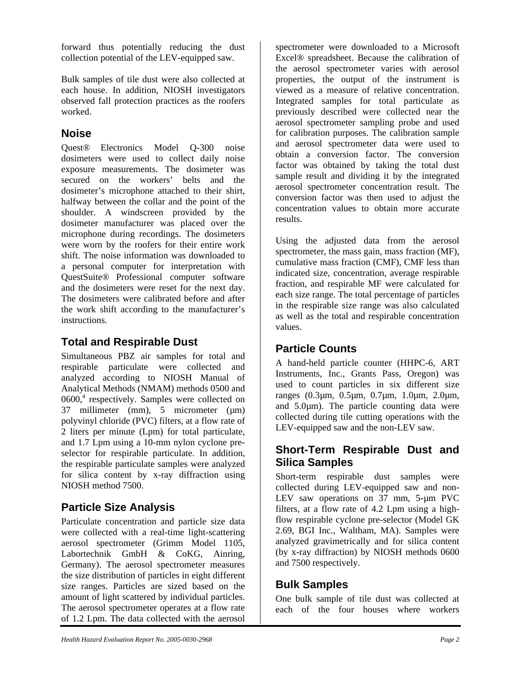forward thus potentially reducing the dust collection potential of the LEV-equipped saw.

Bulk samples of tile dust were also collected at each house. In addition, NIOSH investigators observed fall protection practices as the roofers worked.

### **Noise**

Quest® Electronics Model Q-300 noise dosimeters were used to collect daily noise exposure measurements. The dosimeter was secured on the workers' belts and the dosimeter's microphone attached to their shirt, halfway between the collar and the point of the shoulder. A windscreen provided by the dosimeter manufacturer was placed over the microphone during recordings. The dosimeters were worn by the roofers for their entire work shift. The noise information was downloaded to a personal computer for interpretation with QuestSuite® Professional computer software and the dosimeters were reset for the next day. The dosimeters were calibrated before and after the work shift according to the manufacturer's instructions.

### **Total and Respirable Dust**

Simultaneous PBZ air samples for total and respirable particulate were collected and analyzed according to NIOSH Manual of Analytical Methods (NMAM) methods 0500 and  $0600<sup>4</sup>$  respectively. Samples were collected on 37 millimeter (mm), 5 micrometer (µm) polyvinyl chloride (PVC) filters, at a flow rate of 2 liters per minute (Lpm) for total particulate, and 1.7 Lpm using a 10-mm nylon cyclone preselector for respirable particulate. In addition, the respirable particulate samples were analyzed for silica content by x-ray diffraction using NIOSH method 7500.

### **Particle Size Analysis**

Particulate concentration and particle size data were collected with a real-time light-scattering aerosol spectrometer (Grimm Model 1105, Labortechnik GmbH & CoKG, Ainring, Germany). The aerosol spectrometer measures the size distribution of particles in eight different size ranges. Particles are sized based on the amount of light scattered by individual particles. The aerosol spectrometer operates at a flow rate of 1.2 Lpm. The data collected with the aerosol

spectrometer were downloaded to a Microsoft Excel® spreadsheet. Because the calibration of the aerosol spectrometer varies with aerosol properties, the output of the instrument is viewed as a measure of relative concentration. Integrated samples for total particulate as previously described were collected near the aerosol spectrometer sampling probe and used for calibration purposes. The calibration sample and aerosol spectrometer data were used to obtain a conversion factor. The conversion factor was obtained by taking the total dust sample result and dividing it by the integrated aerosol spectrometer concentration result. The conversion factor was then used to adjust the concentration values to obtain more accurate results.

Using the adjusted data from the aerosol spectrometer, the mass gain, mass fraction (MF), cumulative mass fraction (CMF), CMF less than indicated size, concentration, average respirable fraction, and respirable MF were calculated for each size range. The total percentage of particles in the respirable size range was also calculated as well as the total and respirable concentration values.

### **Particle Counts**

A hand-held particle counter (HHPC-6, ART Instruments, Inc., Grants Pass, Oregon) was used to count particles in six different size ranges (0.3µm, 0.5µm, 0.7µm, 1.0µm, 2.0µm, and 5.0µm). The particle counting data were collected during tile cutting operations with the LEV-equipped saw and the non-LEV saw.

### **Short-Term Respirable Dust and Silica Samples**

Short-term respirable dust samples were collected during LEV-equipped saw and non-LEV saw operations on 37 mm, 5-um PVC filters, at a flow rate of 4.2 Lpm using a highflow respirable cyclone pre-selector (Model GK 2.69, BGI Inc., Waltham, MA). Samples were analyzed gravimetrically and for silica content (by x-ray diffraction) by NIOSH methods 0600 and 7500 respectively.

### **Bulk Samples**

One bulk sample of tile dust was collected at each of the four houses where workers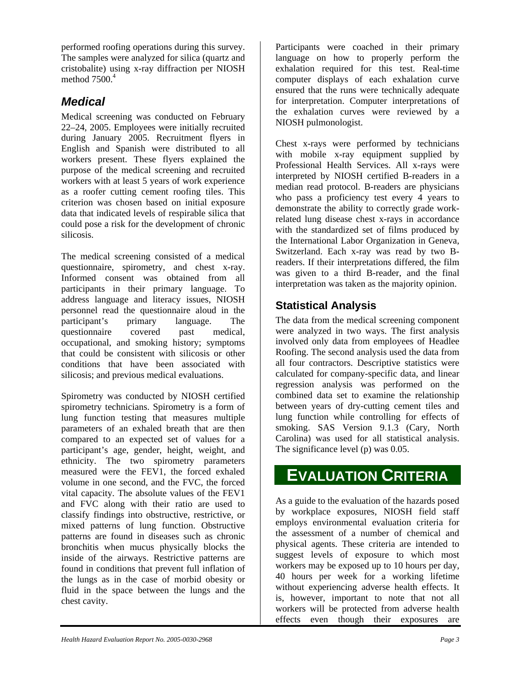performed roofing operations during this survey. The samples were analyzed for silica (quartz and cristobalite) using x-ray diffraction per NIOSH method  $7500<sup>4</sup>$ 

### *Medical*

Medical screening was conducted on February 22–24, 2005. Employees were initially recruited during January 2005. Recruitment flyers in English and Spanish were distributed to all workers present. These flyers explained the purpose of the medical screening and recruited workers with at least 5 years of work experience as a roofer cutting cement roofing tiles. This criterion was chosen based on initial exposure data that indicated levels of respirable silica that could pose a risk for the development of chronic silicosis.

The medical screening consisted of a medical questionnaire, spirometry, and chest x-ray. Informed consent was obtained from all participants in their primary language. To address language and literacy issues, NIOSH personnel read the questionnaire aloud in the participant's primary language. The questionnaire covered past medical, occupational, and smoking history; symptoms that could be consistent with silicosis or other conditions that have been associated with silicosis; and previous medical evaluations.

Spirometry was conducted by NIOSH certified spirometry technicians. Spirometry is a form of lung function testing that measures multiple parameters of an exhaled breath that are then compared to an expected set of values for a participant's age, gender, height, weight, and ethnicity. The two spirometry parameters measured were the FEV1, the forced exhaled volume in one second, and the FVC, the forced vital capacity. The absolute values of the FEV1 and FVC along with their ratio are used to classify findings into obstructive, restrictive, or mixed patterns of lung function. Obstructive patterns are found in diseases such as chronic bronchitis when mucus physically blocks the inside of the airways. Restrictive patterns are found in conditions that prevent full inflation of the lungs as in the case of morbid obesity or fluid in the space between the lungs and the chest cavity.

Participants were coached in their primary language on how to properly perform the exhalation required for this test. Real-time computer displays of each exhalation curve ensured that the runs were technically adequate for interpretation. Computer interpretations of the exhalation curves were reviewed by a NIOSH pulmonologist.

Chest x-rays were performed by technicians with mobile x-ray equipment supplied by Professional Health Services. All x-rays were interpreted by NIOSH certified B-readers in a median read protocol. B-readers are physicians who pass a proficiency test every 4 years to demonstrate the ability to correctly grade workrelated lung disease chest x-rays in accordance with the standardized set of films produced by the International Labor Organization in Geneva, Switzerland. Each x-ray was read by two Breaders. If their interpretations differed, the film was given to a third B-reader, and the final interpretation was taken as the majority opinion.

### **Statistical Analysis**

The data from the medical screening component were analyzed in two ways. The first analysis involved only data from employees of Headlee Roofing. The second analysis used the data from all four contractors. Descriptive statistics were calculated for company-specific data, and linear regression analysis was performed on the combined data set to examine the relationship between years of dry-cutting cement tiles and lung function while controlling for effects of smoking. SAS Version 9.1.3 (Cary, North Carolina) was used for all statistical analysis. The significance level (p) was 0.05.

## **EVALUATION CRITERIA**

As a guide to the evaluation of the hazards posed by workplace exposures, NIOSH field staff employs environmental evaluation criteria for the assessment of a number of chemical and physical agents. These criteria are intended to suggest levels of exposure to which most workers may be exposed up to 10 hours per day, 40 hours per week for a working lifetime without experiencing adverse health effects. It is, however, important to note that not all workers will be protected from adverse health effects even though their exposures are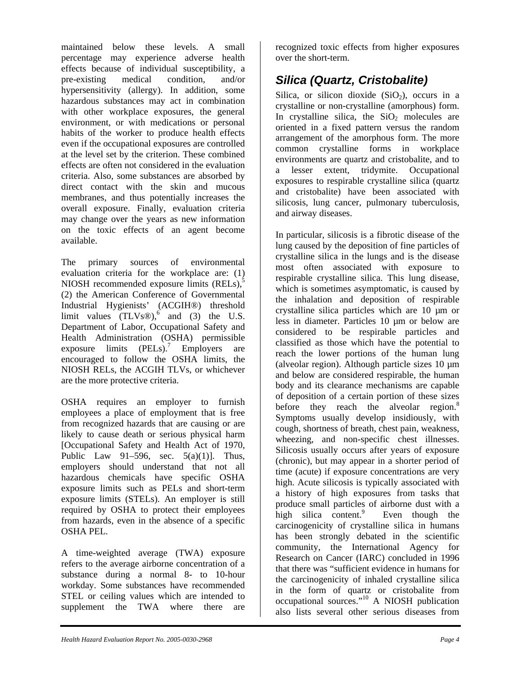maintained below these levels. A small percentage may experience adverse health effects because of individual susceptibility, a pre-existing medical condition, and/or hypersensitivity (allergy). In addition, some hazardous substances may act in combination with other workplace exposures, the general environment, or with medications or personal habits of the worker to produce health effects even if the occupational exposures are controlled at the level set by the criterion. These combined effects are often not considered in the evaluation criteria. Also, some substances are absorbed by direct contact with the skin and mucous membranes, and thus potentially increases the overall exposure. Finally, evaluation criteria may change over the years as new information on the toxic effects of an agent become available.

The primary sources of environmental evaluation criteria for the workplace are: (1) NIOSH recommended exposure limits  $(RELs)$ ,<sup>5</sup> (2) the American Conference of Governmental Industrial Hygienists' (ACGIH®) threshold limit values  $(TLVs@)$ , and (3) the U.S. Department of Labor, Occupational Safety and Health Administration (OSHA) permissible exposure limits  $(PELs)$ .<sup>7</sup> Employers are encouraged to follow the OSHA limits, the NIOSH RELs, the ACGIH TLVs, or whichever are the more protective criteria.

OSHA requires an employer to furnish employees a place of employment that is free from recognized hazards that are causing or are likely to cause death or serious physical harm [Occupational Safety and Health Act of 1970, Public Law 91–596, sec.  $5(a)(1)$ ]. Thus, employers should understand that not all hazardous chemicals have specific OSHA exposure limits such as PELs and short-term exposure limits (STELs). An employer is still required by OSHA to protect their employees from hazards, even in the absence of a specific OSHA PEL.

A time-weighted average (TWA) exposure refers to the average airborne concentration of a substance during a normal 8- to 10-hour workday. Some substances have recommended STEL or ceiling values which are intended to supplement the TWA where there are

recognized toxic effects from higher exposures over the short-term.

### *Silica (Quartz, Cristobalite)*

Silica, or silicon dioxide  $(SiO<sub>2</sub>)$ , occurs in a crystalline or non-crystalline (amorphous) form. In crystalline silica, the  $SiO<sub>2</sub>$  molecules are oriented in a fixed pattern versus the random arrangement of the amorphous form. The more common crystalline forms in workplace environments are quartz and cristobalite, and to a lesser extent, tridymite. Occupational exposures to respirable crystalline silica (quartz and cristobalite) have been associated with silicosis, lung cancer, pulmonary tuberculosis, and airway diseases.

In particular, silicosis is a fibrotic disease of the lung caused by the deposition of fine particles of crystalline silica in the lungs and is the disease most often associated with exposure to respirable crystalline silica. This lung disease, which is sometimes asymptomatic, is caused by the inhalation and deposition of respirable crystalline silica particles which are 10 um or less in diameter. Particles 10 um or below are considered to be respirable particles and classified as those which have the potential to reach the lower portions of the human lung (alveolar region). Although particle sizes 10 µm and below are considered respirable, the human body and its clearance mechanisms are capable of deposition of a certain portion of these sizes before they reach the alveolar region.<sup>8</sup> Symptoms usually develop insidiously, with cough, shortness of breath, chest pain, weakness, wheezing, and non-specific chest illnesses. Silicosis usually occurs after years of exposure (chronic), but may appear in a shorter period of time (acute) if exposure concentrations are very high. Acute silicosis is typically associated with a history of high exposures from tasks that produce small particles of airborne dust with a high silica content. Even though the carcinogenicity of crystalline silica in humans has been strongly debated in the scientific community, the International Agency for Research on Cancer (IARC) concluded in 1996 that there was "sufficient evidence in humans for the carcinogenicity of inhaled crystalline silica in the form of quartz or cristobalite from occupational sources."10 A NIOSH publication also lists several other serious diseases from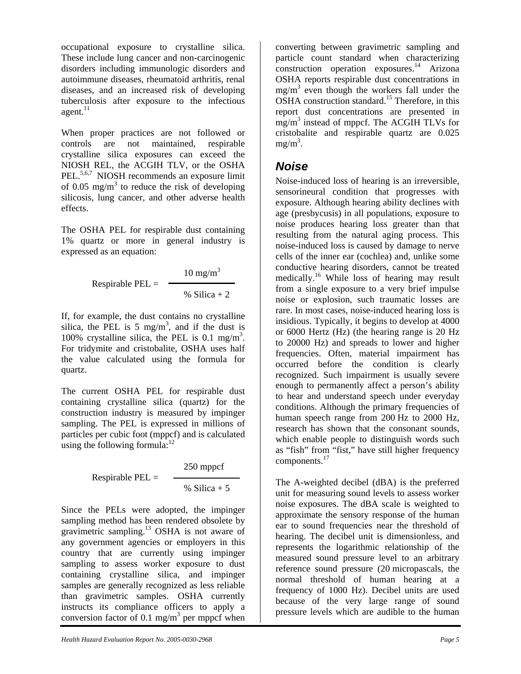occupational exposure to crystalline silica. These include lung cancer and non-carcinogenic disorders including immunologic disorders and autoimmune diseases, rheumatoid arthritis, renal diseases, and an increased risk of developing tuberculosis after exposure to the infectious  $a$ gent. $^{11}$ 

When proper practices are not followed or controls are not maintained, respirable crystalline silica exposures can exceed the NIOSH REL, the ACGIH TLV, or the OSHA PEL.<sup>5,6,7</sup> NIOSH recommends an exposure limit of 0.05 mg/m<sup>3</sup> to reduce the risk of developing silicosis, lung cancer, and other adverse health effects.

The OSHA PEL for respirable dust containing 1% quartz or more in general industry is expressed as an equation:

Respirable PEL = 
$$
\frac{10 \text{ mg/m}^3}{\frac{96 \text{ Silica} + 2}{2}}
$$

If, for example, the dust contains no crystalline silica, the PEL is 5 mg/m<sup>3</sup>, and if the dust is 100% crystalline silica, the PEL is 0.1 mg/m<sup>3</sup>. For tridymite and cristobalite, OSHA uses half the value calculated using the formula for quartz.

The current OSHA PEL for respirable dust containing crystalline silica (quartz) for the construction industry is measured by impinger sampling. The PEL is expressed in millions of particles per cubic foot (mppcf) and is calculated using the following formula: $12$ 

250 mppcf

$$
Respirable PEL =
$$

$$
\%
$$
 Silica + 5

Since the PELs were adopted, the impinger sampling method has been rendered obsolete by gravimetric sampling.<sup>13</sup> OSHA is not aware of any government agencies or employers in this country that are currently using impinger sampling to assess worker exposure to dust containing crystalline silica, and impinger samples are generally recognized as less reliable than gravimetric samples. OSHA currently instructs its compliance officers to apply a conversion factor of 0.1 mg/m<sup>3</sup> per mppcf when

converting between gravimetric sampling and particle count standard when characterizing  $\frac{1}{4}$  construction operation exposures.<sup>14</sup> Arizona OSHA reports respirable dust concentrations in  $mg/m<sup>3</sup>$  even though the workers fall under the OSHA construction standard.<sup>15</sup> Therefore, in this report dust concentrations are presented in mg/m<sup>3</sup> instead of mppcf. The ACGIH TLVs for cristobalite and respirable quartz are 0.025  $mg/m^3$ .

### *Noise*

Noise-induced loss of hearing is an irreversible, sensorineural condition that progresses with exposure. Although hearing ability declines with age (presbycusis) in all populations, exposure to noise produces hearing loss greater than that resulting from the natural aging process. This noise-induced loss is caused by damage to nerve cells of the inner ear (cochlea) and, unlike some conductive hearing disorders, cannot be treated medically. <sup>16</sup> While loss of hearing may result from a single exposure to a very brief impulse noise or explosion, such traumatic losses are rare. In most cases, noise-induced hearing loss is insidious. Typically, it begins to develop at 4000 or 6000 Hertz (Hz) (the hearing range is 20 Hz to 20000 Hz) and spreads to lower and higher frequencies. Often, material impairment has occurred before the condition is clearly recognized. Such impairment is usually severe enough to permanently affect a person's ability to hear and understand speech under everyday conditions. Although the primary frequencies of human speech range from 200 Hz to 2000 Hz, research has shown that the consonant sounds, which enable people to distinguish words such as "fish" from "fist," have still higher frequency components.<sup>17</sup>

The A-weighted decibel (dBA) is the preferred unit for measuring sound levels to assess worker noise exposures. The dBA scale is weighted to approximate the sensory response of the human ear to sound frequencies near the threshold of hearing. The decibel unit is dimensionless, and represents the logarithmic relationship of the measured sound pressure level to an arbitrary reference sound pressure (20 micropascals, the normal threshold of human hearing at a frequency of 1000 Hz). Decibel units are used because of the very large range of sound pressure levels which are audible to the human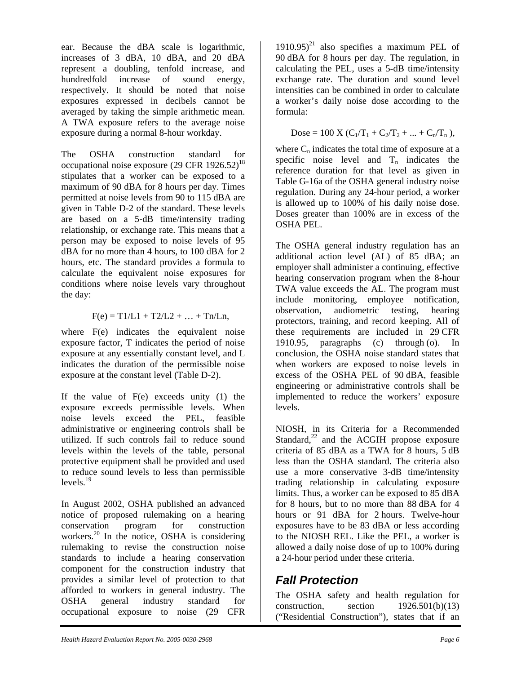ear. Because the dBA scale is logarithmic, increases of 3 dBA, 10 dBA, and 20 dBA represent a doubling, tenfold increase, and hundredfold increase of sound energy, respectively. It should be noted that noise exposures expressed in decibels cannot be averaged by taking the simple arithmetic mean. A TWA exposure refers to the average noise exposure during a normal 8-hour workday.

The OSHA construction standard for occupational noise exposure  $(29 \text{ CFR } 1926.52)^{18}$ stipulates that a worker can be exposed to a maximum of 90 dBA for 8 hours per day. Times permitted at noise levels from 90 to 115 dBA are given in Table D-2 of the standard. These levels are based on a 5-dB time/intensity trading relationship, or exchange rate. This means that a person may be exposed to noise levels of 95 dBA for no more than 4 hours, to 100 dBA for 2 hours, etc. The standard provides a formula to calculate the equivalent noise exposures for conditions where noise levels vary throughout the day:

$$
F(e) = T1/L1 + T2/L2 + ... + Tn/Ln,
$$

where F(e) indicates the equivalent noise exposure factor, T indicates the period of noise exposure at any essentially constant level, and L indicates the duration of the permissible noise exposure at the constant level (Table D-2).

If the value of  $F(e)$  exceeds unity  $(1)$  the exposure exceeds permissible levels. When noise levels exceed the PEL, feasible administrative or engineering controls shall be utilized. If such controls fail to reduce sound levels within the levels of the table, personal protective equipment shall be provided and used to reduce sound levels to less than permissible  $levels.<sup>19</sup>$ 

In August 2002, OSHA published an advanced notice of proposed rulemaking on a hearing conservation program for construction workers.<sup>20</sup> In the notice, OSHA is considering rulemaking to revise the construction noise standards to include a hearing conservation component for the construction industry that provides a similar level of protection to that afforded to workers in general industry. The OSHA general industry standard for occupational exposure to noise (29 CFR

 $1910.95)^{21}$  also specifies a maximum PEL of 90 dBA for 8 hours per day. The regulation, in calculating the PEL, uses a 5-dB time/intensity exchange rate. The duration and sound level intensities can be combined in order to calculate a worker's daily noise dose according to the formula:

$$
Dose = 100 X (C_1/T_1 + C_2/T_2 + ... + C_n/T_n),
$$

where  $C_n$  indicates the total time of exposure at a specific noise level and  $T_n$  indicates the reference duration for that level as given in Table G-16a of the OSHA general industry noise regulation. During any 24-hour period, a worker is allowed up to 100% of his daily noise dose. Doses greater than 100% are in excess of the OSHA PEL.

The OSHA general industry regulation has an additional action level (AL) of 85 dBA; an employer shall administer a continuing, effective hearing conservation program when the 8-hour TWA value exceeds the AL. The program must include monitoring, employee notification, observation, audiometric testing, hearing protectors, training, and record keeping. All of these requirements are included in 29 CFR 1910.95, paragraphs (c) through (o). In conclusion, the OSHA noise standard states that when workers are exposed to noise levels in excess of the OSHA PEL of 90 dBA, feasible engineering or administrative controls shall be implemented to reduce the workers' exposure levels.

NIOSH, in its Criteria for a Recommended Standard, $^{22}$  and the ACGIH propose exposure criteria of 85 dBA as a TWA for 8 hours, 5 dB less than the OSHA standard. The criteria also use a more conservative 3-dB time/intensity trading relationship in calculating exposure limits. Thus, a worker can be exposed to 85 dBA for 8 hours, but to no more than 88 dBA for 4 hours or 91 dBA for 2 hours. Twelve-hour exposures have to be 83 dBA or less according to the NIOSH REL. Like the PEL, a worker is allowed a daily noise dose of up to 100% during a 24-hour period under these criteria.

### *Fall Protection*

The OSHA safety and health regulation for construction, section  $1926.501(b)(13)$ ("Residential Construction"), states that if an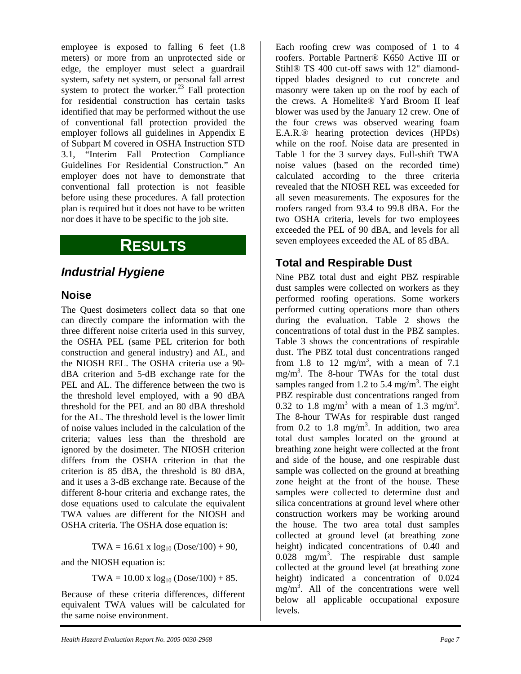employee is exposed to falling 6 feet (1.8 meters) or more from an unprotected side or edge, the employer must select a guardrail system, safety net system, or personal fall arrest system to protect the worker.<sup>23</sup> Fall protection for residential construction has certain tasks identified that may be performed without the use of conventional fall protection provided the employer follows all guidelines in Appendix E of Subpart M covered in OSHA Instruction STD 3.1, "Interim Fall Protection Compliance Guidelines For Residential Construction." An employer does not have to demonstrate that conventional fall protection is not feasible before using these procedures. A fall protection plan is required but it does not have to be written nor does it have to be specific to the job site.

### **RESULTS**

### *Industrial Hygiene*

#### **Noise**

The Quest dosimeters collect data so that one can directly compare the information with the three different noise criteria used in this survey, the OSHA PEL (same PEL criterion for both construction and general industry) and AL, and the NIOSH REL. The OSHA criteria use a 90 dBA criterion and 5-dB exchange rate for the PEL and AL. The difference between the two is the threshold level employed, with a 90 dBA threshold for the PEL and an 80 dBA threshold for the AL. The threshold level is the lower limit of noise values included in the calculation of the criteria; values less than the threshold are ignored by the dosimeter. The NIOSH criterion differs from the OSHA criterion in that the criterion is 85 dBA, the threshold is 80 dBA, and it uses a 3-dB exchange rate. Because of the different 8-hour criteria and exchange rates, the dose equations used to calculate the equivalent TWA values are different for the NIOSH and OSHA criteria. The OSHA dose equation is:

 $TWA = 16.61 \times log_{10} (Dose/100) + 90$ ,

and the NIOSH equation is:

 $TWA = 10.00 \text{ x } log_{10} (Dose/100) + 85.$ 

Because of these criteria differences, different equivalent TWA values will be calculated for the same noise environment.

Each roofing crew was composed of 1 to 4 roofers. Portable Partner® K650 Active III or Stihl® TS 400 cut-off saws with 12" diamondtipped blades designed to cut concrete and masonry were taken up on the roof by each of the crews. A Homelite® Yard Broom II leaf blower was used by the January 12 crew. One of the four crews was observed wearing foam E.A.R.® hearing protection devices (HPDs) while on the roof. Noise data are presented in Table 1 for the 3 survey days. Full-shift TWA noise values (based on the recorded time) calculated according to the three criteria revealed that the NIOSH REL was exceeded for all seven measurements. The exposures for the roofers ranged from 93.4 to 99.8 dBA. For the two OSHA criteria, levels for two employees exceeded the PEL of 90 dBA, and levels for all seven employees exceeded the AL of 85 dBA.

### **Total and Respirable Dust**

Nine PBZ total dust and eight PBZ respirable dust samples were collected on workers as they performed roofing operations. Some workers performed cutting operations more than others during the evaluation. Table 2 shows the concentrations of total dust in the PBZ samples. Table 3 shows the concentrations of respirable dust. The PBZ total dust concentrations ranged from 1.8 to 12 mg/m<sup>3</sup>, with a mean of 7.1 mg/m3 . The 8-hour TWAs for the total dust samples ranged from 1.2 to 5.4 mg/m<sup>3</sup>. The eight PBZ respirable dust concentrations ranged from 0.32 to 1.8 mg/m<sup>3</sup> with a mean of 1.3 mg/m<sup>3</sup>. The 8-hour TWAs for respirable dust ranged from 0.2 to 1.8  $mg/m<sup>3</sup>$ . In addition, two area total dust samples located on the ground at breathing zone height were collected at the front and side of the house, and one respirable dust sample was collected on the ground at breathing zone height at the front of the house. These samples were collected to determine dust and silica concentrations at ground level where other construction workers may be working around the house. The two area total dust samples collected at ground level (at breathing zone height) indicated concentrations of 0.40 and  $0.028$  mg/m<sup>3</sup>. The respirable dust sample collected at the ground level (at breathing zone height) indicated a concentration of 0.024  $mg/m<sup>3</sup>$ . All of the concentrations were well below all applicable occupational exposure levels.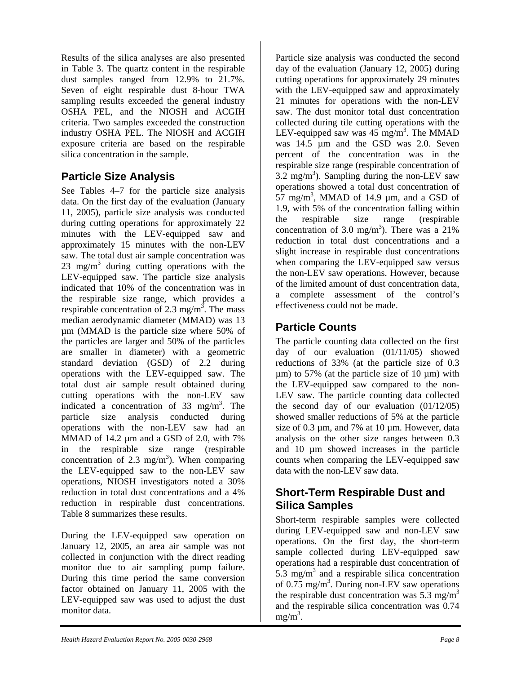Results of the silica analyses are also presented in Table 3. The quartz content in the respirable dust samples ranged from 12.9% to 21.7%. Seven of eight respirable dust 8-hour TWA sampling results exceeded the general industry OSHA PEL, and the NIOSH and ACGIH criteria. Two samples exceeded the construction industry OSHA PEL. The NIOSH and ACGIH exposure criteria are based on the respirable silica concentration in the sample.

### **Particle Size Analysis**

See Tables 4–7 for the particle size analysis data. On the first day of the evaluation (January 11, 2005), particle size analysis was conducted during cutting operations for approximately 22 minutes with the LEV-equipped saw and approximately 15 minutes with the non-LEV saw. The total dust air sample concentration was  $23 \text{ mg/m}^3$  during cutting operations with the LEV-equipped saw. The particle size analysis indicated that 10% of the concentration was in the respirable size range, which provides a respirable concentration of 2.3 mg/m<sup>3</sup>. The mass median aerodynamic diameter (MMAD) was 13 µm (MMAD is the particle size where 50% of the particles are larger and 50% of the particles are smaller in diameter) with a geometric standard deviation (GSD) of 2.2 during operations with the LEV-equipped saw. The total dust air sample result obtained during cutting operations with the non-LEV saw indicated a concentration of  $33 \text{ mg/m}^3$ . The particle size analysis conducted during operations with the non-LEV saw had an MMAD of 14.2 µm and a GSD of 2.0, with 7% in the respirable size range (respirable concentration of 2.3 mg/m<sup>3</sup>). When comparing the LEV-equipped saw to the non-LEV saw operations, NIOSH investigators noted a 30% reduction in total dust concentrations and a 4% reduction in respirable dust concentrations. Table 8 summarizes these results.

During the LEV-equipped saw operation on January 12, 2005, an area air sample was not collected in conjunction with the direct reading monitor due to air sampling pump failure. During this time period the same conversion factor obtained on January 11, 2005 with the LEV-equipped saw was used to adjust the dust monitor data.

Particle size analysis was conducted the second day of the evaluation (January 12, 2005) during cutting operations for approximately 29 minutes with the LEV-equipped saw and approximately 21 minutes for operations with the non-LEV saw. The dust monitor total dust concentration collected during tile cutting operations with the LEV-equipped saw was  $45 \text{ mg/m}^3$ . The MMAD was 14.5 µm and the GSD was 2.0. Seven percent of the concentration was in the respirable size range (respirable concentration of  $3.2 \text{ mg/m}^3$ ). Sampling during the non-LEV saw operations showed a total dust concentration of  $57 \text{ mg/m}^3$ , MMAD of 14.9 µm, and a GSD of 1.9, with 5% of the concentration falling within the respirable size range (respirable concentration of 3.0 mg/m<sup>3</sup>). There was a 21% reduction in total dust concentrations and a slight increase in respirable dust concentrations when comparing the LEV-equipped saw versus the non-LEV saw operations. However, because of the limited amount of dust concentration data, a complete assessment of the control's effectiveness could not be made.

### **Particle Counts**

The particle counting data collected on the first day of our evaluation (01/11/05) showed reductions of 33% (at the particle size of 0.3  $\mu$ m) to 57% (at the particle size of 10  $\mu$ m) with the LEV-equipped saw compared to the non-LEV saw. The particle counting data collected the second day of our evaluation (01/12/05) showed smaller reductions of 5% at the particle size of 0.3 µm, and 7% at 10 µm. However, data analysis on the other size ranges between 0.3 and 10 µm showed increases in the particle counts when comparing the LEV-equipped saw data with the non-LEV saw data.

### **Short-Term Respirable Dust and Silica Samples**

Short-term respirable samples were collected during LEV-equipped saw and non-LEV saw operations. On the first day, the short-term sample collected during LEV-equipped saw operations had a respirable dust concentration of  $5.\overline{3}$  mg/m<sup>3</sup> and a respirable silica concentration of 0.75 mg/m<sup>3</sup>. During non-LEV saw operations the respirable dust concentration was 5.3 mg/m<sup>3</sup> and the respirable silica concentration was 0.74  $mg/m<sup>3</sup>$ .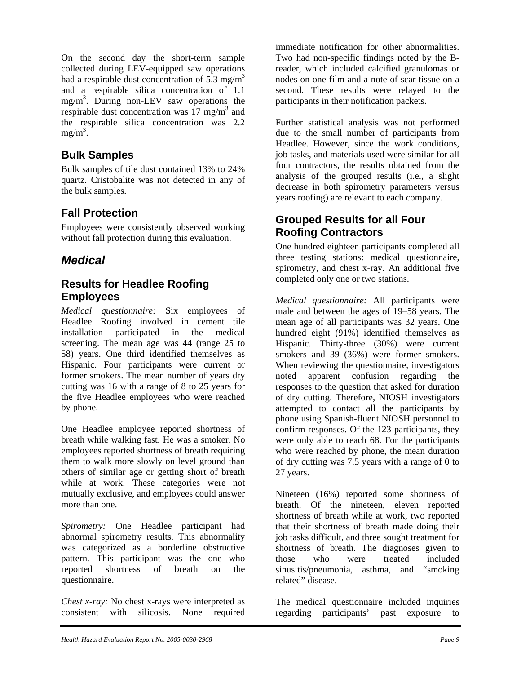On the second day the short-term sample collected during LEV-equipped saw operations had a respirable dust concentration of 5.3 mg/m<sup>3</sup> and a respirable silica concentration of 1.1 mg/m3 . During non-LEV saw operations the respirable dust concentration was  $17 \text{ mg/m}^3$  and the respirable silica concentration was 2.2  $mg/m<sup>3</sup>$ .

#### **Bulk Samples**

Bulk samples of tile dust contained 13% to 24% quartz. Cristobalite was not detected in any of the bulk samples.

### **Fall Protection**

Employees were consistently observed working without fall protection during this evaluation.

### *Medical*

#### **Results for Headlee Roofing Employees**

*Medical questionnaire:* Six employees of Headlee Roofing involved in cement tile installation participated in the medical screening. The mean age was 44 (range 25 to 58) years. One third identified themselves as Hispanic. Four participants were current or former smokers. The mean number of years dry cutting was 16 with a range of 8 to 25 years for the five Headlee employees who were reached by phone.

One Headlee employee reported shortness of breath while walking fast. He was a smoker. No employees reported shortness of breath requiring them to walk more slowly on level ground than others of similar age or getting short of breath while at work. These categories were not mutually exclusive, and employees could answer more than one.

*Spirometry:* One Headlee participant had abnormal spirometry results. This abnormality was categorized as a borderline obstructive pattern. This participant was the one who reported shortness of breath on the questionnaire.

*Chest x-ray:* No chest x-rays were interpreted as consistent with silicosis. None required

immediate notification for other abnormalities. Two had non-specific findings noted by the Breader, which included calcified granulomas or nodes on one film and a note of scar tissue on a second. These results were relayed to the participants in their notification packets.

Further statistical analysis was not performed due to the small number of participants from Headlee. However, since the work conditions, job tasks, and materials used were similar for all four contractors, the results obtained from the analysis of the grouped results (i.e., a slight decrease in both spirometry parameters versus years roofing) are relevant to each company.

### **Grouped Results for all Four Roofing Contractors**

One hundred eighteen participants completed all three testing stations: medical questionnaire, spirometry, and chest x-ray. An additional five completed only one or two stations.

*Medical questionnaire:* All participants were male and between the ages of 19–58 years. The mean age of all participants was 32 years. One hundred eight (91%) identified themselves as Hispanic. Thirty-three (30%) were current smokers and 39 (36%) were former smokers. When reviewing the questionnaire, investigators noted apparent confusion regarding the responses to the question that asked for duration of dry cutting. Therefore, NIOSH investigators attempted to contact all the participants by phone using Spanish-fluent NIOSH personnel to confirm responses. Of the 123 participants, they were only able to reach 68. For the participants who were reached by phone, the mean duration of dry cutting was 7.5 years with a range of 0 to 27 years.

Nineteen (16%) reported some shortness of breath. Of the nineteen, eleven reported shortness of breath while at work, two reported that their shortness of breath made doing their job tasks difficult, and three sought treatment for shortness of breath. The diagnoses given to those who were treated included sinusitis/pneumonia, asthma, and "smoking related" disease.

The medical questionnaire included inquiries regarding participants' past exposure to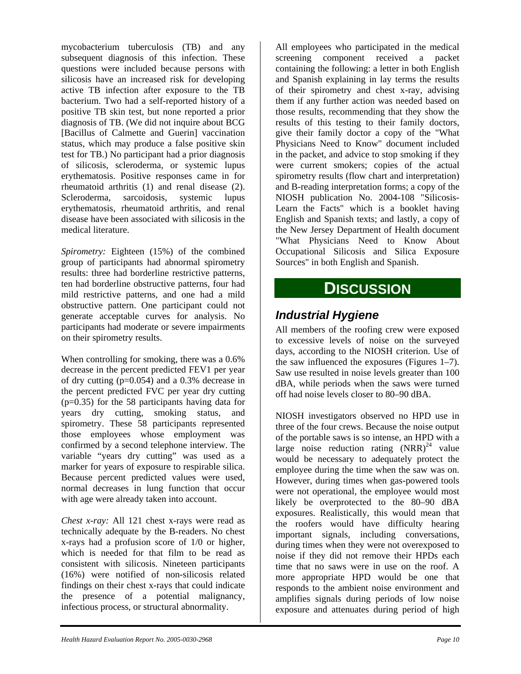mycobacterium tuberculosis (TB) and any subsequent diagnosis of this infection. These questions were included because persons with silicosis have an increased risk for developing active TB infection after exposure to the TB bacterium. Two had a self-reported history of a positive TB skin test, but none reported a prior diagnosis of TB. (We did not inquire about BCG [Bacillus of Calmette and Guerin] vaccination status, which may produce a false positive skin test for TB.) No participant had a prior diagnosis of silicosis, scleroderma, or systemic lupus erythematosis. Positive responses came in for rheumatoid arthritis (1) and renal disease (2). Scleroderma, sarcoidosis, systemic lupus erythematosis, rheumatoid arthritis, and renal disease have been associated with silicosis in the medical literature.

*Spirometry:* Eighteen (15%) of the combined group of participants had abnormal spirometry results: three had borderline restrictive patterns, ten had borderline obstructive patterns, four had mild restrictive patterns, and one had a mild obstructive pattern. One participant could not generate acceptable curves for analysis. No participants had moderate or severe impairments on their spirometry results.

When controlling for smoking, there was a 0.6% decrease in the percent predicted FEV1 per year of dry cutting (p=0.054) and a 0.3% decrease in the percent predicted FVC per year dry cutting (p=0.35) for the 58 participants having data for years dry cutting, smoking status, and spirometry. These 58 participants represented those employees whose employment was confirmed by a second telephone interview. The variable "years dry cutting" was used as a marker for years of exposure to respirable silica. Because percent predicted values were used, normal decreases in lung function that occur with age were already taken into account.

*Chest x-ray:* All 121 chest x-rays were read as technically adequate by the B-readers. No chest x-rays had a profusion score of 1/0 or higher, which is needed for that film to be read as consistent with silicosis. Nineteen participants (16%) were notified of non-silicosis related findings on their chest x-rays that could indicate the presence of a potential malignancy, infectious process, or structural abnormality.

All employees who participated in the medical screening component received a packet containing the following: a letter in both English and Spanish explaining in lay terms the results of their spirometry and chest x-ray, advising them if any further action was needed based on those results, recommending that they show the results of this testing to their family doctors, give their family doctor a copy of the "What Physicians Need to Know" document included in the packet, and advice to stop smoking if they were current smokers; copies of the actual spirometry results (flow chart and interpretation) and B-reading interpretation forms; a copy of the NIOSH publication No. 2004-108 "Silicosis-Learn the Facts" which is a booklet having English and Spanish texts; and lastly, a copy of the New Jersey Department of Health document "What Physicians Need to Know About Occupational Silicosis and Silica Exposure Sources" in both English and Spanish.

### **DISCUSSION**

### *Industrial Hygiene*

All members of the roofing crew were exposed to excessive levels of noise on the surveyed days, according to the NIOSH criterion. Use of the saw influenced the exposures (Figures 1–7). Saw use resulted in noise levels greater than 100 dBA, while periods when the saws were turned off had noise levels closer to 80–90 dBA.

NIOSH investigators observed no HPD use in three of the four crews. Because the noise output of the portable saws is so intense, an HPD with a large noise reduction rating  $(NRR)^{24}$  value would be necessary to adequately protect the employee during the time when the saw was on. However, during times when gas-powered tools were not operational, the employee would most likely be overprotected to the 80–90 dBA exposures. Realistically, this would mean that the roofers would have difficulty hearing important signals, including conversations, during times when they were not overexposed to noise if they did not remove their HPDs each time that no saws were in use on the roof. A more appropriate HPD would be one that responds to the ambient noise environment and amplifies signals during periods of low noise exposure and attenuates during period of high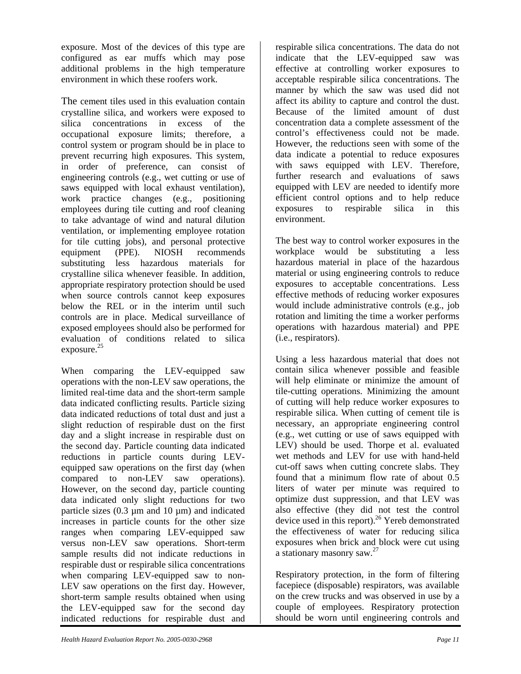exposure. Most of the devices of this type are configured as ear muffs which may pose additional problems in the high temperature environment in which these roofers work.

The cement tiles used in this evaluation contain crystalline silica, and workers were exposed to silica concentrations in excess of the occupational exposure limits; therefore, a control system or program should be in place to prevent recurring high exposures. This system, in order of preference, can consist of engineering controls (e.g., wet cutting or use of saws equipped with local exhaust ventilation), work practice changes (e.g., positioning employees during tile cutting and roof cleaning to take advantage of wind and natural dilution ventilation, or implementing employee rotation for tile cutting jobs), and personal protective equipment (PPE). NIOSH recommends substituting less hazardous materials for crystalline silica whenever feasible. In addition, appropriate respiratory protection should be used when source controls cannot keep exposures below the REL or in the interim until such controls are in place. Medical surveillance of exposed employees should also be performed for evaluation of conditions related to silica exposure. $25$ 

When comparing the LEV-equipped saw operations with the non-LEV saw operations, the limited real-time data and the short-term sample data indicated conflicting results. Particle sizing data indicated reductions of total dust and just a slight reduction of respirable dust on the first day and a slight increase in respirable dust on the second day. Particle counting data indicated reductions in particle counts during LEVequipped saw operations on the first day (when compared to non-LEV saw operations). However, on the second day, particle counting data indicated only slight reductions for two particle sizes  $(0.3 \mu m)$  and 10  $\mu m$ ) and indicated increases in particle counts for the other size ranges when comparing LEV-equipped saw versus non-LEV saw operations. Short-term sample results did not indicate reductions in respirable dust or respirable silica concentrations when comparing LEV-equipped saw to non-LEV saw operations on the first day. However, short-term sample results obtained when using the LEV-equipped saw for the second day indicated reductions for respirable dust and

respirable silica concentrations. The data do not indicate that the LEV-equipped saw was effective at controlling worker exposures to acceptable respirable silica concentrations. The manner by which the saw was used did not affect its ability to capture and control the dust. Because of the limited amount of dust concentration data a complete assessment of the control's effectiveness could not be made. However, the reductions seen with some of the data indicate a potential to reduce exposures with saws equipped with LEV. Therefore, further research and evaluations of saws equipped with LEV are needed to identify more efficient control options and to help reduce exposures to respirable silica in this environment.

The best way to control worker exposures in the workplace would be substituting a less hazardous material in place of the hazardous material or using engineering controls to reduce exposures to acceptable concentrations. Less effective methods of reducing worker exposures would include administrative controls (e.g., job rotation and limiting the time a worker performs operations with hazardous material) and PPE (i.e., respirators).

Using a less hazardous material that does not contain silica whenever possible and feasible will help eliminate or minimize the amount of tile-cutting operations. Minimizing the amount of cutting will help reduce worker exposures to respirable silica. When cutting of cement tile is necessary, an appropriate engineering control (e.g., wet cutting or use of saws equipped with LEV) should be used. Thorpe et al. evaluated wet methods and LEV for use with hand-held cut-off saws when cutting concrete slabs. They found that a minimum flow rate of about 0.5 liters of water per minute was required to optimize dust suppression, and that LEV was also effective (they did not test the control device used in this report).<sup>26</sup> Yereb demonstrated the effectiveness of water for reducing silica exposures when brick and block were cut using a stationary masonry saw.27

Respiratory protection, in the form of filtering facepiece (disposable) respirators, was available on the crew trucks and was observed in use by a couple of employees. Respiratory protection should be worn until engineering controls and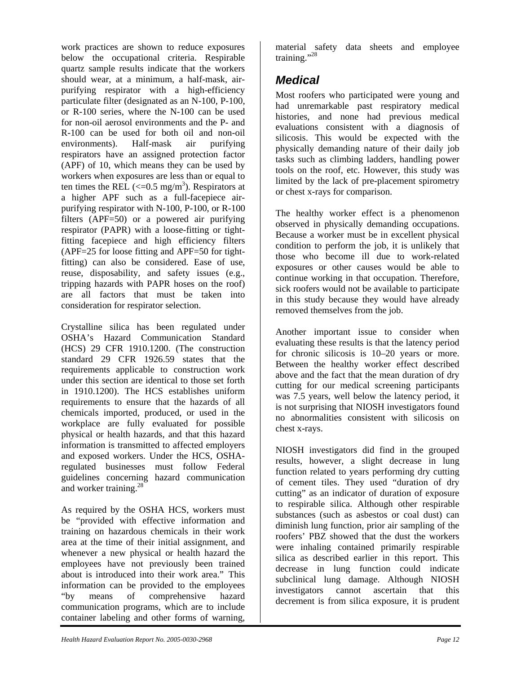work practices are shown to reduce exposures below the occupational criteria. Respirable quartz sample results indicate that the workers should wear, at a minimum, a half-mask, airpurifying respirator with a high-efficiency particulate filter (designated as an N-100, P-100, or R-100 series, where the N-100 can be used for non-oil aerosol environments and the P- and R-100 can be used for both oil and non-oil environments). Half-mask air purifying respirators have an assigned protection factor (APF) of 10, which means they can be used by workers when exposures are less than or equal to ten times the REL ( $\leq$ =0.5 mg/m<sup>3</sup>). Respirators at a higher APF such as a full-facepiece airpurifying respirator with N-100, P-100, or R-100 filters (APF=50) or a powered air purifying respirator (PAPR) with a loose-fitting or tightfitting facepiece and high efficiency filters (APF=25 for loose fitting and APF=50 for tightfitting) can also be considered. Ease of use, reuse, disposability, and safety issues (e.g., tripping hazards with PAPR hoses on the roof) are all factors that must be taken into consideration for respirator selection.

Crystalline silica has been regulated under OSHA's Hazard Communication Standard (HCS) 29 CFR 1910.1200. (The construction standard 29 CFR 1926.59 states that the requirements applicable to construction work under this section are identical to those set forth in 1910.1200). The HCS establishes uniform requirements to ensure that the hazards of all chemicals imported, produced, or used in the workplace are fully evaluated for possible physical or health hazards, and that this hazard information is transmitted to affected employers and exposed workers. Under the HCS, OSHAregulated businesses must follow Federal guidelines concerning hazard communication and worker training.<sup>28</sup>

As required by the OSHA HCS, workers must be "provided with effective information and training on hazardous chemicals in their work area at the time of their initial assignment, and whenever a new physical or health hazard the employees have not previously been trained about is introduced into their work area." This information can be provided to the employees "by means of comprehensive hazard communication programs, which are to include container labeling and other forms of warning,

material safety data sheets and employee training."<sup>28</sup>

### *Medical*

Most roofers who participated were young and had unremarkable past respiratory medical histories, and none had previous medical evaluations consistent with a diagnosis of silicosis. This would be expected with the physically demanding nature of their daily job tasks such as climbing ladders, handling power tools on the roof, etc. However, this study was limited by the lack of pre-placement spirometry or chest x-rays for comparison.

The healthy worker effect is a phenomenon observed in physically demanding occupations. Because a worker must be in excellent physical condition to perform the job, it is unlikely that those who become ill due to work-related exposures or other causes would be able to continue working in that occupation. Therefore, sick roofers would not be available to participate in this study because they would have already removed themselves from the job.

Another important issue to consider when evaluating these results is that the latency period for chronic silicosis is 10–20 years or more. Between the healthy worker effect described above and the fact that the mean duration of dry cutting for our medical screening participants was 7.5 years, well below the latency period, it is not surprising that NIOSH investigators found no abnormalities consistent with silicosis on chest x-rays.

NIOSH investigators did find in the grouped results, however, a slight decrease in lung function related to years performing dry cutting of cement tiles. They used "duration of dry cutting" as an indicator of duration of exposure to respirable silica. Although other respirable substances (such as asbestos or coal dust) can diminish lung function, prior air sampling of the roofers' PBZ showed that the dust the workers were inhaling contained primarily respirable silica as described earlier in this report. This decrease in lung function could indicate subclinical lung damage. Although NIOSH investigators cannot ascertain that this decrement is from silica exposure, it is prudent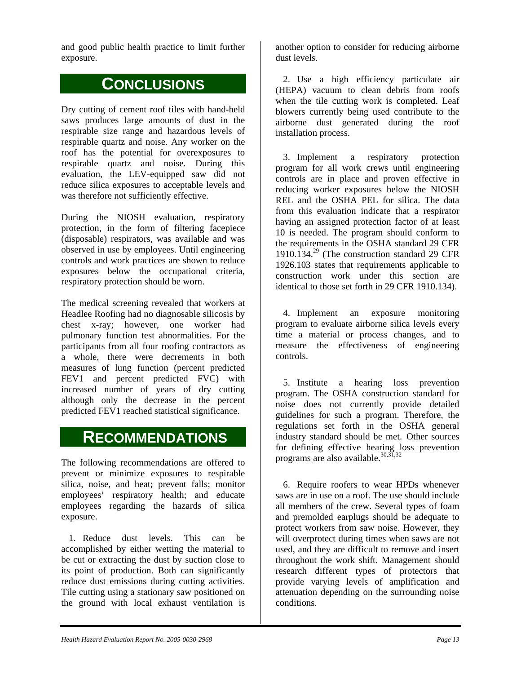and good public health practice to limit further exposure.

### **CONCLUSIONS**

Dry cutting of cement roof tiles with hand-held saws produces large amounts of dust in the respirable size range and hazardous levels of respirable quartz and noise. Any worker on the roof has the potential for overexposures to respirable quartz and noise. During this evaluation, the LEV-equipped saw did not reduce silica exposures to acceptable levels and was therefore not sufficiently effective.

During the NIOSH evaluation, respiratory protection, in the form of filtering facepiece (disposable) respirators, was available and was observed in use by employees. Until engineering controls and work practices are shown to reduce exposures below the occupational criteria, respiratory protection should be worn.

The medical screening revealed that workers at Headlee Roofing had no diagnosable silicosis by chest x-ray; however, one worker had pulmonary function test abnormalities. For the participants from all four roofing contractors as a whole, there were decrements in both measures of lung function (percent predicted FEV1 and percent predicted FVC) with increased number of years of dry cutting although only the decrease in the percent predicted FEV1 reached statistical significance.

### **RECOMMENDATIONS**

The following recommendations are offered to prevent or minimize exposures to respirable silica, noise, and heat; prevent falls; monitor employees' respiratory health; and educate employees regarding the hazards of silica exposure.

1. Reduce dust levels. This can be accomplished by either wetting the material to be cut or extracting the dust by suction close to its point of production. Both can significantly reduce dust emissions during cutting activities. Tile cutting using a stationary saw positioned on the ground with local exhaust ventilation is

another option to consider for reducing airborne dust levels.

2. Use a high efficiency particulate air (HEPA) vacuum to clean debris from roofs when the tile cutting work is completed. Leaf blowers currently being used contribute to the airborne dust generated during the roof installation process.

3. Implement a respiratory protection program for all work crews until engineering controls are in place and proven effective in reducing worker exposures below the NIOSH REL and the OSHA PEL for silica. The data from this evaluation indicate that a respirator having an assigned protection factor of at least 10 is needed. The program should conform to the requirements in the OSHA standard 29 CFR 1910.134. 29 (The construction standard 29 CFR 1926.103 states that requirements applicable to construction work under this section are identical to those set forth in 29 CFR 1910.134).

4. Implement an exposure monitoring program to evaluate airborne silica levels every time a material or process changes, and to measure the effectiveness of engineering controls.

5. Institute a hearing loss prevention program. The OSHA construction standard for noise does not currently provide detailed guidelines for such a program. Therefore, the regulations set forth in the OSHA general industry standard should be met. Other sources for defining effective hearing loss prevention programs are also available.<sup>30,31,32</sup>

6. Require roofers to wear HPDs whenever saws are in use on a roof. The use should include all members of the crew. Several types of foam and premolded earplugs should be adequate to protect workers from saw noise. However, they will overprotect during times when saws are not used, and they are difficult to remove and insert throughout the work shift. Management should research different types of protectors that provide varying levels of amplification and attenuation depending on the surrounding noise conditions.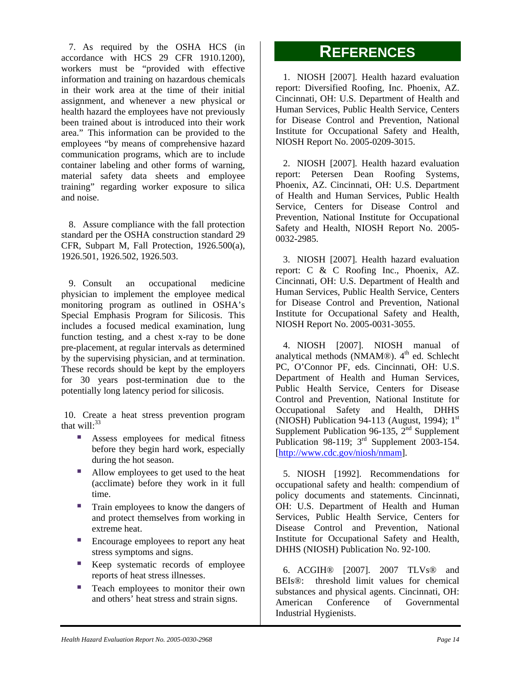7. As required by the OSHA HCS (in accordance with HCS 29 CFR 1910.1200), workers must be "provided with effective information and training on hazardous chemicals in their work area at the time of their initial assignment, and whenever a new physical or health hazard the employees have not previously been trained about is introduced into their work area." This information can be provided to the employees "by means of comprehensive hazard communication programs, which are to include container labeling and other forms of warning, material safety data sheets and employee training" regarding worker exposure to silica and noise.

8. Assure compliance with the fall protection standard per the OSHA construction standard 29 CFR, Subpart M, Fall Protection, 1926.500(a), 1926.501, 1926.502, 1926.503.

9. Consult an occupational medicine physician to implement the employee medical monitoring program as outlined in OSHA's Special Emphasis Program for Silicosis. This includes a focused medical examination, lung function testing, and a chest x-ray to be done pre-placement, at regular intervals as determined by the supervising physician, and at termination. These records should be kept by the employers for 30 years post-termination due to the potentially long latency period for silicosis.

10. Create a heat stress prevention program that will: $33$ 

- Assess employees for medical fitness before they begin hard work, especially before they begin hard work, especially [http://www.cdc.gov/niosh/nmam].<br>during the hot season.
- Allow employees to get used to the heat (acclimate) before they work in it full time.
- Train employees to know the dangers of and protect themselves from working in extreme heat.
- **Encourage employees to report any heat** stress symptoms and signs.
- Keep systematic records of employee reports of heat stress illnesses.
- and others' heat stress and strain signs. Teach employees to monitor their own

### **REFERENCES**

1. NIOSH [2007]. Health hazard evaluation report: Diversified Roofing, Inc. Phoenix, AZ. Cincinnati, OH: U.S. Department of Health and Human Services, Public Health Service, Centers for Disease Control and Prevention, National Institute for Occupational Safety and Health, NIOSH Report No. 2005-0209-3015.

Prevention, National Institute for Occupational Safety and Health, NIOSH Report No. 2005- 2. NIOSH [2007]. Health hazard evaluation report: Petersen Dean Roofing Systems, Phoenix, AZ. Cincinnati, OH: U.S. Department of Health and Human Services, Public Health Service, Centers for Disease Control and 0032-2985.

for Disease Control and Prevention, National Institute for Occupational Safety and Health, 3. NIOSH [2007]. Health hazard evaluation report: C & C Roofing Inc., Phoenix, AZ. Cincinnati, OH: U.S. Department of Health and Human Services, Public Health Service, Centers NIOSH Report No. 2005-0031-3055.

Supplement Publication 96-135,  $2^{nd}$  Supplement Publication 98-119;  $3<sup>rd</sup>$  Supplement 2003-154. 4. NIOSH [2007]. NIOSH manual of analytical methods (NMAM®).  $4<sup>th</sup>$  ed. Schlecht PC, O'Connor PF, eds. Cincinnati, OH: U.S. Department of Health and Human Services, Public Health Service, Centers for Disease Control and Prevention, National Institute for Occupational Safety and Health, DHHS (NIOSH) Publication 94-113 (August, 1994);  $1<sup>st</sup>$ 

5. NIOSH [1992]. Recommendations for occupational safety and health: compendium of policy documents and statements. Cincinnati, OH: U.S. Department of Health and Human Services, Public Health Service, Centers for Disease Control and Prevention, N ational Institute for Occupational Safety and Health, DHHS (NIOSH) Publication No. 92-100.

substances and physical agents. Cincinnati, OH: American Conference of Governmental Industrial Hygienists. 6. ACGIH® [2007]. 2007 TLVs® and BEIs®: threshold limit values for chemical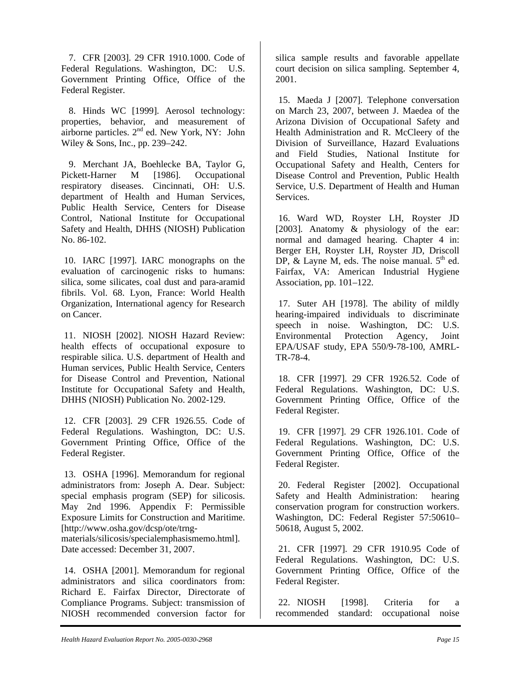7. CFR [2003]. 29 CFR 1910.1000. Code of Federal Regulations. Washington, DC: U.S. Government Printing Office, Office of the Federal Register.

8. Hinds WC [1999]. Aerosol technology: properties, behavior, and measurement of airborne particles. 2<sup>nd</sup> ed. New York, NY: John Wiley & Sons, Inc., pp. 239–242.

9. Merchant JA, Boehlecke BA, Taylor G, Pickett-Harner M [1986]. Occupational respiratory diseases. Cincinnati, OH: U.S. department of Health and Human Services, Public Health Service, Centers for Disease Control, National Institute for Occupational Safety and Health, DHHS (NIOSH) Publication No. 86-102.

10. IARC [1997]. IARC monographs on the evaluation of carcinogenic risks to humans: silica, some silicates, coal dust and para-aramid fibrils. Vol. 68. Lyon, France: World Health Organization, International agency for Research on Cancer.

11. NIOSH [2002]. NIOSH Hazard Review: health effects of occupational exposure to respirable silica. U.S. department of Health and Human services, Public Health Service, Centers for Disease Control and Prevention, National Institute for Occupational Safety and Health, DHHS (NIOSH) Publication No. 2002-129.

12. CFR [2003]. 29 CFR 1926.55. Code of Federal Regulations. Washington, DC: U.S. Government Printing Office, Office of the Federal Register.

13. OSHA [1996]. Memorandum for regional administrators from: Joseph A. Dear. Subject: special emphasis program (SEP) for silicosis. May 2nd 1996. Appendix F: Permissible Exposure Limits for Construction and Maritime. [http://www.osha.gov/dcsp/ote/trngmaterials/silicosis/specialemphasismemo.html]. Date accessed: December 31, 2007.

14. OSHA [2001]. Memorandum for regional administrators and silica coordinators from: Richard E. Fairfax Director, Directorate of Compliance Programs. Subject: transmission of NIOSH recommended conversion factor for

silica sample results and favorable appellate court decision on silica sampling. September 4, 2001.

15. Maeda J [2007]. Telephone conversation on March 23, 2007, between J. Maedea of the Arizona Division of Occupational Safety and Health Administration and R. McCleery of the Division of Surveillance, Hazard Evaluations and Field Studies, National Institute for Occupational Safety and Health, Centers for Disease Control and Prevention, Public Health Service, U.S. Department of Health and Human Services.

16. Ward WD, Royster LH, Royster JD [2003]. Anatomy & physiology of the ear: normal and damaged hearing. Chapter 4 in: Berger EH, Royster LH, Royster JD, Driscoll DP,  $\&$  Layne M, eds. The noise manual.  $5<sup>th</sup>$  ed. Fairfax, VA: American Industrial Hygiene Association, pp. 101–122.

17. Suter AH [1978]. The ability of mildly hearing-impaired individuals to discriminate speech in noise. Washington, DC: U.S. Environmental Protection Agency, Joint EPA/USAF study, EPA 550/9-78-100, AMRL-TR-78-4.

18. CFR [1997]. 29 CFR 1926.52. Code of Federal Regulations. Washington, DC: U.S. Government Printing Office, Office of the Federal Register.

19. CFR [1997]. 29 CFR 1926.101. Code of Federal Regulations. Washington, DC: U.S. Government Printing Office, Office of the Federal Register.

20. Federal Register [2002]. Occupational Safety and Health Administration: hearing conservation program for construction workers. Washington, DC: Federal Register 57:50610– 50618, August 5, 2002.

21. CFR [1997]. 29 CFR 1910.95 Code of Federal Regulations. Washington, DC: U.S. Government Printing Office, Office of the Federal Register.

22. NIOSH [1998]. Criteria for a recommended standard: occupational noise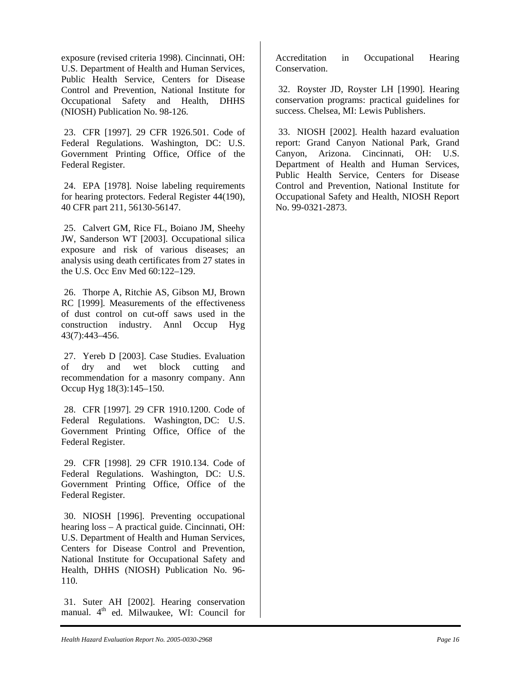exposure (revised criteria 1998). Cincinnati, OH: U.S. Department of Health and Human Services, Public Health Service, Centers for Disease Control and Prevention, National Institute for Occupational Safety and Health, DHHS (NIOSH) Publication No. 98-126.

23. CFR [1997]. 29 CFR 1926.501. Code of Federal Regulations. Washington, DC: U.S. Government Printing Office, Office of the Federal Register.

24. EPA [1978]. Noise labeling requirements for hearing protectors. Federal Register 44(190), 40 CFR part 211, 56130-56147.

25. Calvert GM, Rice FL, Boiano JM, Sheehy JW, Sanderson WT [2003]. Occupational silica exposure and risk of various diseases; an analysis using death certificates from 27 states in the U.S. Occ Env Med 60:122–129.

26. Thorpe A, Ritchie AS, Gibson MJ, Brown RC [1999]. Measurements of the effectiveness of dust control on cut-off saws used in the construction industry. Annl Occup Hyg 43(7):443–456.

27. Yereb D [2003]. Case Studies. Evaluation of dry and wet block cutting and recommendation for a masonry company. Ann Occup Hyg 18(3):145–150.

28. CFR [1997]. 29 CFR 1910.1200. Code of Federal Regulations. Washington, DC: U.S. Government Printing Office, Office of the Federal Register.

29. CFR [1998]. 29 CFR 1910.134. Code of Federal Regulations. Washington, DC: U.S. Government Printing Office, Office of the Federal Register.

30. NIOSH [1996]. Preventing occupational hearing loss – A practical guide. Cincinnati, OH: U.S. Department of Health and Human Services, Centers for Disease Control and Prevention, National Institute for Occupational Safety and Health, DHHS (NIOSH) Publication No. 96- 110.

31. Suter AH [2002]. Hearing conservation manual. 4<sup>th</sup> ed. Milwaukee, WI: Council for Accreditation in Occupational Hearing Conservation.

32. Royster JD, Royster LH [1990]. Hearing conservation programs: practical guidelines for success. Chelsea, MI: Lewis Publishers.

33. NIOSH [2002]. Health hazard evaluation report: Grand Canyon National Park, Grand Canyon, Arizona. Cincinnati, OH: U.S. Department of Health and Human Services, Public Health Service, Centers for Disease Control and Prevention, National Institute for Occupational Safety and Health, NIOSH Report No. 99-0321-2873.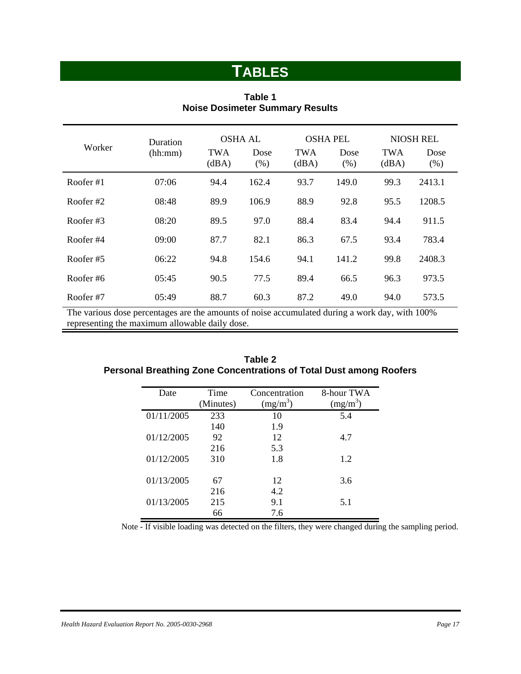# **TABLES**

| Worker      | Duration |                     | <b>OSHA AL</b> |                     | <b>OSHA PEL</b> | <b>NIOSH REL</b>    |              |  |
|-------------|----------|---------------------|----------------|---------------------|-----------------|---------------------|--------------|--|
|             | (hh:mm)  | <b>TWA</b><br>(dBA) | Dose<br>(% )   | <b>TWA</b><br>(dBA) | Dose<br>(% )    | <b>TWA</b><br>(dBA) | Dose<br>(% ) |  |
| Roofer#1    | 07:06    | 94.4                | 162.4          | 93.7                | 149.0           | 99.3                | 2413.1       |  |
| Roofer $#2$ | 08:48    | 89.9                | 106.9          | 88.9                | 92.8            | 95.5                | 1208.5       |  |
| Roofer#3    | 08:20    | 89.5                | 97.0           | 88.4                | 83.4            | 94.4                | 911.5        |  |
| Roofer#4    | 09:00    | 87.7                | 82.1           | 86.3                | 67.5            | 93.4                | 783.4        |  |
| Roofer#5    | 06:22    | 94.8                | 154.6          | 94.1                | 141.2           | 99.8                | 2408.3       |  |
| Roofer#6    | 05:45    | 90.5                | 77.5           | 89.4                | 66.5            | 96.3                | 973.5        |  |
| Roofer#7    | 05:49    | 88.7                | 60.3           | 87.2                | 49.0            | 94.0                | 573.5        |  |

#### **Table 1 Noise Dosimeter Summary Results**

The various dose percentages are the amounts of noise accumulated during a work day, with 100% representing the maximum allowable daily dose.

| Date       | Time<br>(Minutes) | Concentration<br>$(mg/m^3)$ | 8-hour TWA<br>(mg/m) |
|------------|-------------------|-----------------------------|----------------------|
| 01/11/2005 | 233               | 10                          | 5.4                  |
|            | 140               | 1.9                         |                      |
| 01/12/2005 | 92                | 12                          | 4.7                  |
|            | 216               | 5.3                         |                      |
| 01/12/2005 | 310               | 1.8                         | 1.2                  |
| 01/13/2005 | 67                | 12                          | 3.6                  |
|            | 216               | 4.2                         |                      |
| 01/13/2005 | 215               | 9.1                         | 5.1                  |
|            | 66                | 7.6                         |                      |

#### **Table 2 Personal Breathing Zone Concentrations of Total Dust among Roofers**

Note - If visible loading was detected on the filters, they were changed during the sampling period.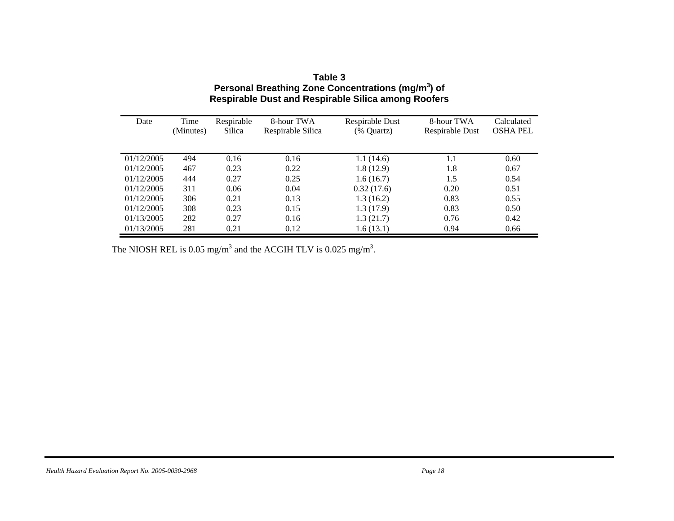| Date       | Time<br>(Minutes) | Respirable<br>Silica | 8-hour TWA<br>Respirable Silica | Respirable Dust<br>(% Quartz) | 8-hour TWA<br>Respirable Dust | Calculated<br><b>OSHA PEL</b> |
|------------|-------------------|----------------------|---------------------------------|-------------------------------|-------------------------------|-------------------------------|
|            |                   |                      |                                 |                               |                               |                               |
| 01/12/2005 | 494               | 0.16                 | 0.16                            | 1.1(14.6)                     | 1.1                           | 0.60                          |
| 01/12/2005 | 467               | 0.23                 | 0.22                            | 1.8(12.9)                     | 1.8                           | 0.67                          |
| 01/12/2005 | 444               | 0.27                 | 0.25                            | 1.6(16.7)                     | 1.5                           | 0.54                          |
| 01/12/2005 | 311               | 0.06                 | 0.04                            | 0.32(17.6)                    | 0.20                          | 0.51                          |
| 01/12/2005 | 306               | 0.21                 | 0.13                            | 1.3(16.2)                     | 0.83                          | 0.55                          |
| 01/12/2005 | 308               | 0.23                 | 0.15                            | 1.3(17.9)                     | 0.83                          | 0.50                          |
| 01/13/2005 | 282               | 0.27                 | 0.16                            | 1.3(21.7)                     | 0.76                          | 0.42                          |
| 01/13/2005 | 281               | 0.21                 | 0.12                            | 1.6(13.1)                     | 0.94                          | 0.66                          |

#### **Table 3 Personal Breathing Zone Concentrations (mg/m3) of Respirable Dust and Respirable Silica among Roofers**

The NIOSH REL is 0.05 mg/m<sup>3</sup> and the ACGIH TLV is 0.025 mg/m<sup>3</sup>.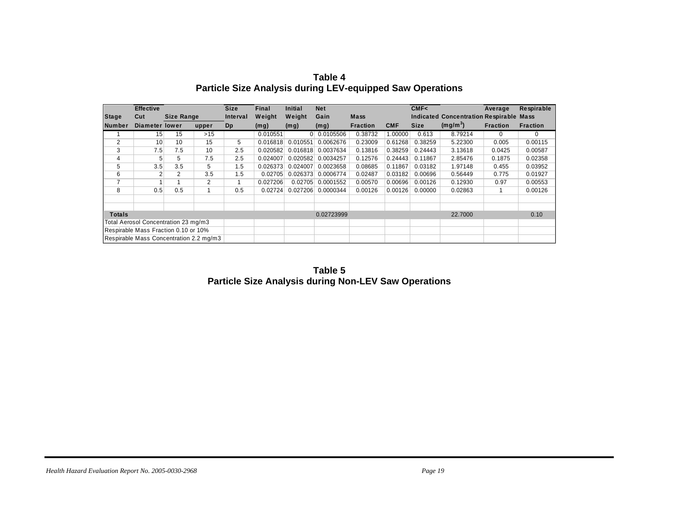|                                         | <b>Effective</b> |            |       | <b>Size</b> | Final    | <b>Initial</b> | <b>Net</b>  |                 |            | CMF<        |                                                | Average         | Respirable      |
|-----------------------------------------|------------------|------------|-------|-------------|----------|----------------|-------------|-----------------|------------|-------------|------------------------------------------------|-----------------|-----------------|
| <b>Stage</b>                            | Cut              | Size Range |       | Interval    | Weight   | Weight         | Gain        | <b>Mass</b>     |            |             | <b>Indicated Concentration Respirable Mass</b> |                 |                 |
| <b>Number</b>                           | Diameter lower   |            | upper | Dp          | (mg)     | (mg)           | (mg)        | <b>Fraction</b> | <b>CMF</b> | <b>Size</b> | (mg/m <sup>3</sup> )                           | <b>Fraction</b> | <b>Fraction</b> |
|                                         | 15               | 15         | >15   |             | 0.010551 |                | 0 0.0105506 | 0.38732         | 1.00000    | 0.613       | 8.79214                                        | $\Omega$        | $\Omega$        |
| 2                                       | 10               | 10         | 15    | 5           | 0.016818 | 0.010551       | 0.0062676   | 0.23009         | 0.61268    | 0.38259     | 5.22300                                        | 0.005           | 0.00115         |
| 3                                       | 7.5              | 7.5        | 10    | 2.5         | 0.020582 | 0.016818       | 0.0037634   | 0.13816         | 0.38259    | 0.24443     | 3.13618                                        | 0.0425          | 0.00587         |
| 4                                       | 5                | 5          | 7.5   | 2.5         | 0.024007 | 0.020582       | 0.0034257   | 0.12576         | 0.24443    | 0.11867     | 2.85476                                        | 0.1875          | 0.02358         |
| 5                                       | 3.5              | 3.5        | 5     | 1.5         | 0.026373 | 0.024007       | 0.0023658   | 0.08685         | 0.11867    | 0.03182     | 1.97148                                        | 0.455           | 0.03952         |
| 6                                       |                  | 2          | 3.5   | 1.5         | 0.02705  | 0.026373       | 0.0006774   | 0.02487         | 0.03182    | 0.00696     | 0.56449                                        | 0.775           | 0.01927         |
| 7                                       |                  |            | 2     |             | 0.027206 | 0.02705        | 0.0001552   | 0.00570         | 0.00696    | 0.00126     | 0.12930                                        | 0.97            | 0.00553         |
| 8                                       | 0.5              | 0.5        |       | 0.5         | 0.02724  | 0.027206       | 0.0000344   | 0.00126         | 0.00126    | 0.00000     | 0.02863                                        |                 | 0.00126         |
|                                         |                  |            |       |             |          |                |             |                 |            |             |                                                |                 |                 |
|                                         |                  |            |       |             |          |                |             |                 |            |             |                                                |                 |                 |
| 0.02723999<br><b>Totals</b>             |                  |            |       |             |          |                | 22,7000     |                 | 0.10       |             |                                                |                 |                 |
| Total Aerosol Concentration 23 mg/m3    |                  |            |       |             |          |                |             |                 |            |             |                                                |                 |                 |
| Respirable Mass Fraction 0.10 or 10%    |                  |            |       |             |          |                |             |                 |            |             |                                                |                 |                 |
| Respirable Mass Concentration 2.2 mg/m3 |                  |            |       |             |          |                |             |                 |            |             |                                                |                 |                 |

**Table 4 Particle Size Analysis during LEV-equipped Saw Operations** 

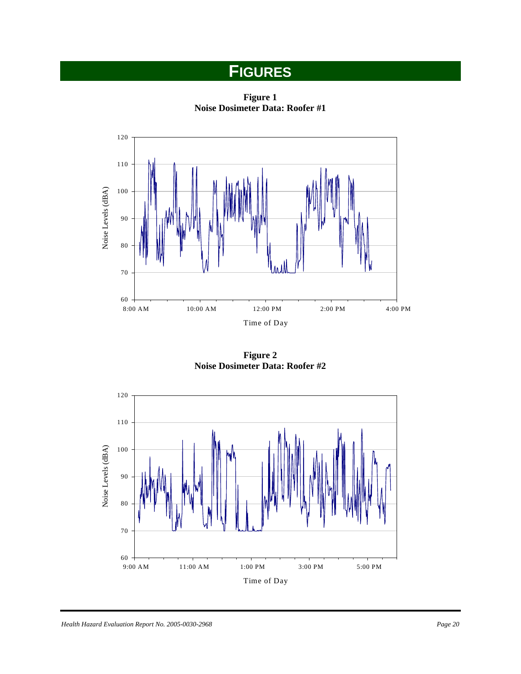# **FIGURES**

**Figure 1 Noise Dosimeter Data: Roofer #1** 



**Figure 2 Noise Dosimeter Data: Roofer #2** 

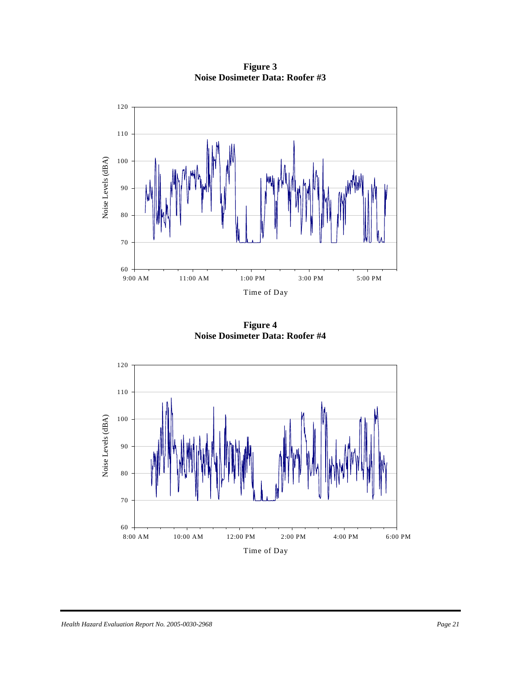**Figure 3 Noise Dosimeter Data: Roofer #3** 



**Figure 4 Noise Dosimeter Data: Roofer #4** 

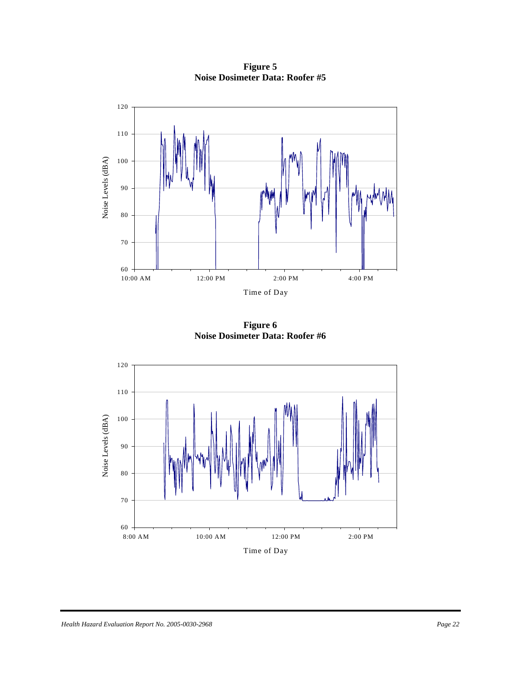**Figure 5 Noise Dosimeter Data: Roofer #5** 



**Figure 6 Noise Dosimeter Data: Roofer #6** 

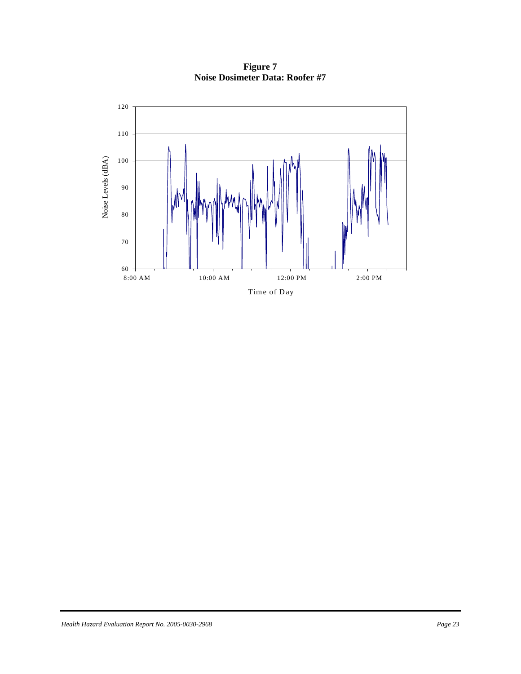8:00 AM 10:00 AM 12:00 PM 2:00 PM Noise Levels (dB Noise Levels (dBA) 60 70 80 90 100 110 120

Time of Day

**Figure 7 Noise Dosimeter Data: Roofer #7**